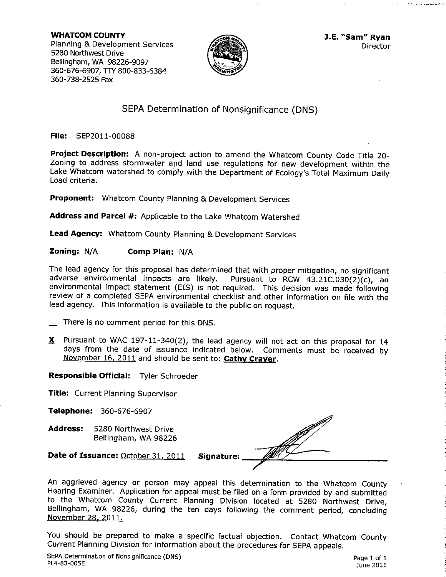**WHATCOM COUNTY** Planning & Development Services 5280 Northwest Drive Bellingham, WA 98226-9097 360-676-6907, TTY 800-833-6384 360-738-2525 Fax



# SEPA Determination of Nonsignificance (DNS)

**File:** SEP2011-00088

Project Description: A non-project action to amend the Whatcom County Code Title 20-Zoning to address stormwater and land use regulations for new development within the Lake Whatcom watershed to comply with the Department of Ecology's Total Maximum Daily Load criteria.

**Proponent:** Whatcom County Planning & Development Services

Address and Parcel #: Applicable to the Lake Whatcom Watershed

Lead Agency: Whatcom County Planning & Development Services

Zoning: N/A Comp Plan: N/A

The lead agency for this proposal has determined that with proper mitigation, no significant adverse environmental impacts are likely. Pursuant to RCW 43.21C.030(2)(c), an environmental impact statement (EIS) is not required. This decision was made following review of a completed SEPA environmental checklist and other information on file with the lead agency. This information is available to the public on request.

There is no comment period for this DNS.

X Pursuant to WAC 197-11-340(2), the lead agency will not act on this proposal for 14 days from the date of issuance indicated below. Comments must be received by November 16, 2011 and should be sent to: Cathy Craver.

Responsible Official: Tyler Schroeder

Title: Current Planning Supervisor

Telephone: 360-676-6907

**Address:** 5280 Northwest Drive Bellingham, WA 98226

Date of Issuance: October 31, 2011

TIA. Signature:

An aggrieved agency or person may appeal this determination to the Whatcom County Hearing Examiner. Application for appeal must be filed on a form provided by and submitted to the Whatcom County Current Planning Division located at 5280 Northwest Drive, Bellingham, WA 98226, during the ten days following the comment period, concluding November 28, 2011.

You should be prepared to make a specific factual objection. Contact Whatcom County Current Planning Division for information about the procedures for SEPA appeals.

SEPA Determination of Nonsignificance (DNS) PL4-83-005E

Page 1 of 1 June 2011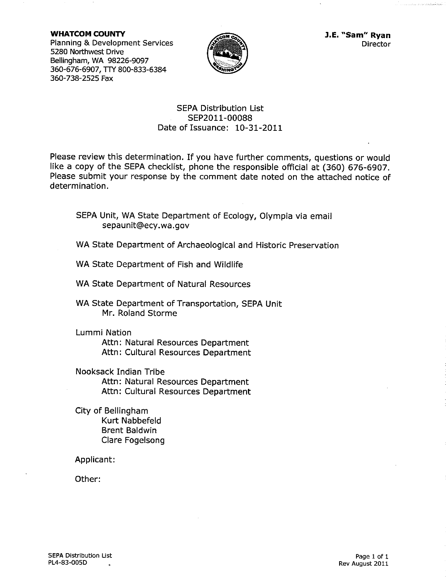**WHATCOM COUNTY** Planning & Development Services 5280 Northwest Drive Bellingham, WA 98226-9097 360-676-6907, TTY 800-833-6384 360-738-2525 Fax



J.E. "Sam" Ryan **Director**  # **SEPA Distribution List** SEP2011-00088 Date of Issuance: 10-31-2011

Please review this determination. If you have further comments, questions or would like a copy of the SEPA checklist, phone the responsible official at (360) 676-6907. Please submit your response by the comment date noted on the attached notice of determination.

- SEPA Unit, WA State Department of Ecology, Olympia via email sepaunit@ecy.wa.gov
- WA State Department of Archaeological and Historic Preservation
- WA State Department of Fish and Wildlife
- WA State Department of Natural Resources
- WA State Department of Transportation, SEPA Unit Mr. Roland Storme

Lummi Nation

Attn: Natural Resources Department Attn: Cultural Resources Department

- Nooksack Indian Tribe Attn: Natural Resources Department Attn: Cultural Resources Department
- City of Bellingham Kurt Nabbefeld **Brent Baldwin** Clare Fogelsong

Applicant:

Other: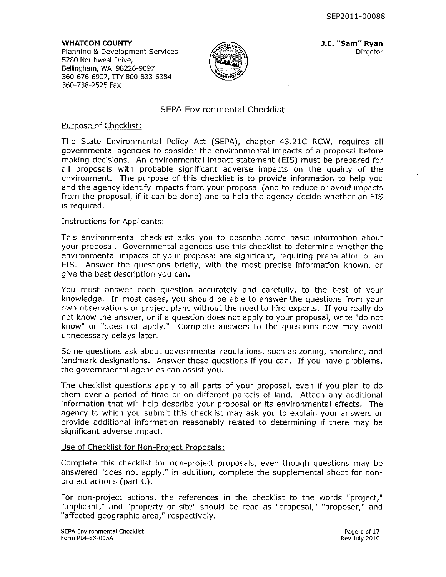**WHATCOM COUNTY** Planning & Development Services 5280 Northwest Drive, Bellingham, WA 98226-9097 360-676-6907, TTY 800-833-6384 360-738-2525 Fax



J.E. "Sam" Ryan Director

## **SEPA Environmental Checklist**

Purpose of Checklist:

The State Environmental Policy Act (SEPA), chapter 43.21C RCW, requires all governmental agencies to consider the environmental impacts of a proposal before making decisions. An environmental impact statement (EIS) must be prepared for all proposals with probable significant adverse impacts on the quality of the environment. The purpose of this checklist is to provide information to help you and the agency identify impacts from your proposal (and to reduce or avoid impacts from the proposal, if it can be done) and to help the agency decide whether an EIS is required.

## **Instructions for Applicants:**

This environmental checklist asks you to describe some basic information about your proposal. Governmental agencies use this checklist to determine whether the environmental impacts of your proposal are significant, requiring preparation of an EIS. Answer the questions briefly, with the most precise information known, or give the best description you can.

You must answer each question accurately and carefully, to the best of your knowledge. In most cases, you should be able to answer the questions from your own observations or project plans without the need to hire experts. If you really do not know the answer, or if a question does not apply to your proposal, write "do not know" or "does not apply." Complete answers to the questions now may avoid unnecessary delays later.

Some questions ask about governmental regulations, such as zoning, shoreline, and landmark designations. Answer these questions if you can. If you have problems, the governmental agencies can assist you.

The checklist questions apply to all parts of your proposal, even if you plan to do them over a period of time or on different parcels of land. Attach any additional information that will help describe your proposal or its environmental effects. The agency to which you submit this checklist may ask you to explain your answers or provide additional information reasonably related to determining if there may be significant adverse impact.

### Use of Checklist for Non-Project Proposals:

Complete this checklist for non-project proposals, even though questions may be answered "does not apply." in addition, complete the supplemental sheet for nonproject actions (part C).

For non-project actions, the references in the checklist to the words "project," "applicant," and "property or site" should be read as "proposal," "proposer," and "affected geographic area," respectively.

**SEPA Environmental Checklist** Form PL4-83-005A

Page 1 of 17 Rev July 2010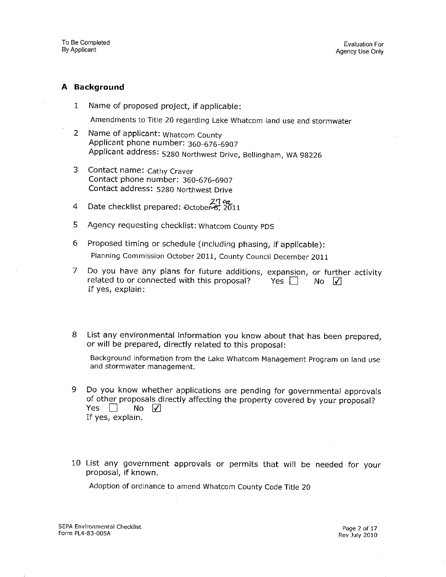## A Background

Name of proposed project, if applicable:  $\mathbf{1}$ 

Amendments to Title 20 regarding Lake Whatcom land use and stormwater

- $\overline{2}$ Name of applicant: Whatcom County Applicant phone number: 360-676-6907 Applicant address: 5280 Northwest Drive, Bellingham, WA 98226
- 3 Contact name: Cathy Craver Contact phone number: 360-676-6907 Contact address: 5280 Northwest Drive
- Date checklist prepared: October-6, 2011  $\overline{4}$
- 5. Agency requesting checklist: Whatcom County PDS
- Proposed timing or schedule (including phasing, if applicable): 6. Planning Commission October 2011, County Council December 2011
- $\overline{7}$ Do you have any plans for future additions, expansion, or further activity related to or connected with this proposal? Yes  $\Box$ No  $\mathsf{V}$ If yes, explain:
- 8 List any environmental information you know about that has been prepared, or will be prepared, directly related to this proposal:

Background information from the Lake Whatcom Management Program on land use and stormwater management.

- $\mathbf{Q}$ Do you know whether applications are pending for governmental approvals of other proposals directly affecting the property covered by your proposal? Yes  $\Box$  $\overline{N}$ o  $\overline{V}$ If yes, explain.
- 10 List any government approvals or permits that will be needed for your proposal, if known.

Adoption of ordinance to amend Whatcom County Code Title 20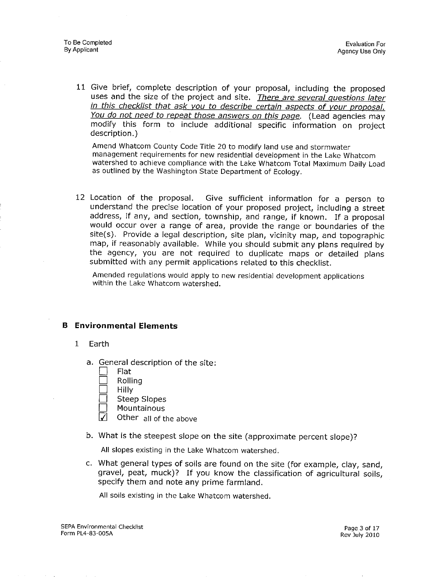11 Give brief, complete description of your proposal, including the proposed uses and the size of the project and site. There are several questions later in this checklist that ask you to describe certain aspects of your proposal. You do not need to repeat those answers on this page. (Lead agencies may modify this form to include additional specific information on project description.)

Amend Whatcom County Code Title 20 to modify land use and stormwater management requirements for new residential development in the Lake Whatcom watershed to achieve compliance with the Lake Whatcom Total Maximum Daily Load as outlined by the Washington State Department of Ecology.

12 Location of the proposal. Give sufficient information for a person to understand the precise location of your proposed project, including a street address, if any, and section, township, and range, if known. If a proposal would occur over a range of area, provide the range or boundaries of the site(s). Provide a legal description, site plan, vicinity map, and topographic map, if reasonably available. While you should submit any plans required by the agency, you are not required to duplicate maps or detailed plans submitted with any permit applications related to this checklist.

Amended regulations would apply to new residential development applications within the Lake Whatcom watershed.

#### R **Environmental Elements**

- 1 Earth
	- a. General description of the site;
		- Flat
		- Rolling
		- **Hilly**
		- **Steep Slopes**
		- Mountainous
		- Other all of the above
	- b. What is the steepest slope on the site (approximate percent slope)?

All slopes existing in the Lake Whatcom watershed.

c. What general types of soils are found on the site (for example, clay, sand, gravel, peat, muck)? If you know the classification of agricultural soils, specify them and note any prime farmland.

All soils existing in the Lake Whatcom watershed.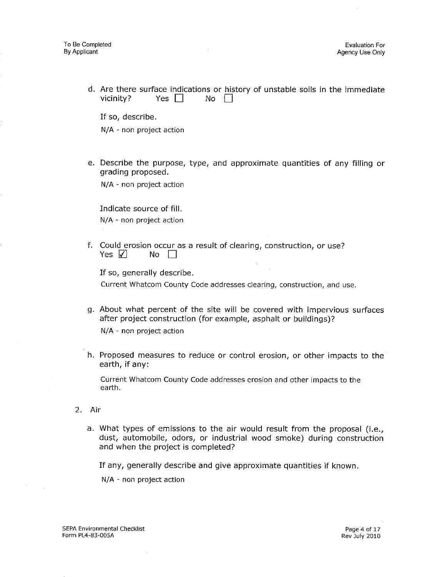d. Are there surface indications or history of unstable soils in the immediate vicinity? Yes  $\Box$  $No$   $||$ 

If so, describe.

N/A - non project action

e. Describe the purpose, type, and approximate quantities of any filling or grading proposed.

N/A - non project action

Indicate source of fill. N/A - non project action

f. Could erosion occur as a result of clearing, construction, or use? Yes  $\nabla$  $No$   $\Box$ 

If so, generally describe. Current Whatcom County Code addresses clearing, construction, and use.

q. About what percent of the site will be covered with impervious surfaces

after project construction (for example, asphalt or buildings)?

N/A - non project action

h. Proposed measures to reduce or control erosion, or other impacts to the earth, if any:

Current Whatcom County Code addresses erosion and other impacts to the earth.

- 2. Air
	- a. What types of emissions to the air would result from the proposal (i.e., dust, automobile, odors, or industrial wood smoke) during construction and when the project is completed?

If any, generally describe and give approximate quantities if known.

N/A - non project action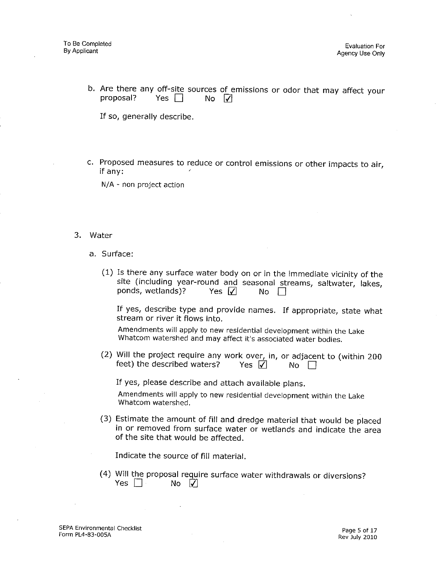b. Are there any off-site sources of emissions or odor that may affect your proposal? Yes  $\Box$ No  $\sqrt{7}$ 

If so, generally describe.

c. Proposed measures to reduce or control emissions or other impacts to air, if any:

 $N/A$  - non project action

- 3. Water
	- a. Surface:
		- (1) Is there any surface water body on or in the immediate vicinity of the site (including year-round and seasonal streams, saltwater, lakes, ponds, wetlands)? Yes  $\nabla$  $No$   $\Box$

If yes, describe type and provide names. If appropriate, state what stream or river it flows into.

Amendments will apply to new residential development within the Lake Whatcom watershed and may affect it's associated water bodies.

(2) Will the project require any work over, in, or adjacent to (within 200 feet) the described waters? Yes  $\nabla$  $No \ \Box$ 

If yes, please describe and attach available plans.

Amendments will apply to new residential development within the Lake Whatcom watershed.

(3) Estimate the amount of fill and dredge material that would be placed in or removed from surface water or wetlands and indicate the area of the site that would be affected.

Indicate the source of fill material.

(4) Will the proposal require surface water withdrawals or diversions? Yes  $\Box$  $\overline{N}$  Mo  $\overline{V}$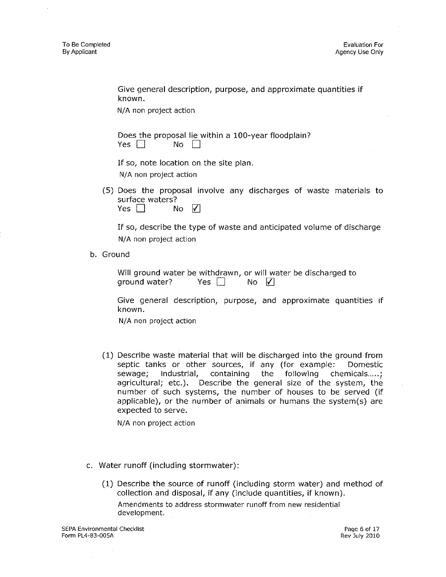Give general description, purpose, and approximate quantities if known.

N/A non project action

Does the proposal lie within a 100-year floodplain? Yes  $\Box$  $No \ \Box$ 

If so, note location on the site plan.

N/A non project action

(5) Does the proposal involve any discharges of waste materials to surface waters?

| Yes |  | Nο | $\sqrt{ }$ |
|-----|--|----|------------|
|-----|--|----|------------|

If so, describe the type of waste and anticipated volume of discharge N/A non project action

b. Ground

Will ground water be withdrawn, or will water be discharged to ground water? Yes  $\Box$  $\overline{N}$ o  $\overline{V}$ 

Give general description, purpose, and approximate quantities if known.

N/A non project action

(1) Describe waste material that will be discharged into the ground from septic tanks or other sources, if any (for example: Domestic sewage; industrial, containing the following chemicals.....; agricultural; etc.). Describe the general size of the system, the number of such systems, the number of houses to be served (if applicable), or the number of animals or humans the system(s) are expected to serve.

N/A non project action

- c. Water runoff (including stormwater):
	- (1) Describe the source of runoff (including storm water) and method of collection and disposal, if any (include quantities, if known). Amendments to address stormwater runoff from new residential development.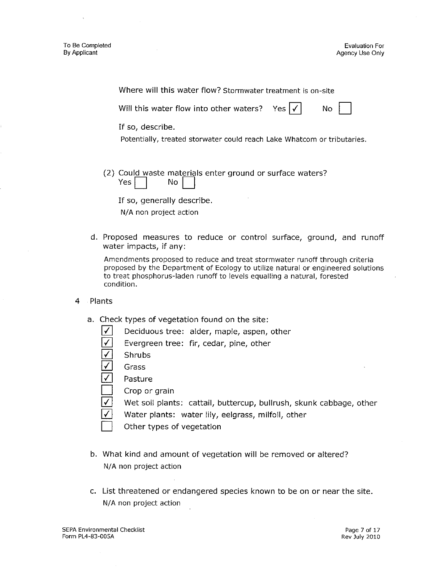| Where will this water flow? Stormwater treatment is on-site                                     |
|-------------------------------------------------------------------------------------------------|
| Yes $\vert \sqrt{} \vert$<br>Will this water flow into other waters?<br>No                      |
| If so, describe.<br>Potentially, treated storwater could reach Lake Whatcom or tributaries.     |
| (2) Could waste materials enter ground or surface waters?<br>Yes<br>No                          |
| If so, generally describe.<br>N/A non project action                                            |
| d. Proposed measures to reduce or control surface, ground, and runoff<br>water impacts, if any: |
| Amendments proposed to reduce and treat stormwater runoff through criteria                      |

Amendments proposed to reduce and treat stormwater runoff through criteria proposed by the Department of Ecology to utilize natural or engineered solutions to treat phosphorus-laden runoff to levels equalling a natural, forested condition.

#### $\boldsymbol{4}$ **Plants**

- a. Check types of vegetation found on the site:
	- Deciduous tree: alder, maple, aspen, other
	- $\checkmark$ Evergreen tree: fir, cedar, pine, other
	- $\overline{\checkmark}$ **Shrubs**
	- $\frac{1}{\sqrt{2}}$ Grass
	- $\overline{\blacktriangledown}$ Pasture
		- Crop or grain
	- $\overline{\sqrt{ }}$ Wet soil plants: cattail, buttercup, bullrush, skunk cabbage, other
	- Water plants: water lily, eelgrass, milfoil, other
	- Other types of vegetation
- b. What kind and amount of vegetation will be removed or altered? N/A non project action
- c. List threatened or endangered species known to be on or near the site. N/A non project action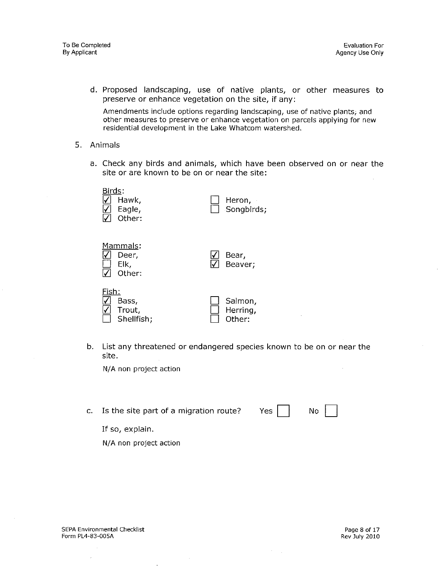d. Proposed landscaping, use of native plants, or other measures to preserve or enhance vegetation on the site, if any:

Amendments include options regarding landscaping, use of native plants, and other measures to preserve or enhance vegetation on parcels applying for new residential development in the Lake Whatcom watershed.

- 5. Animals
	- a. Check any birds and animals, which have been observed on or near the site or are known to be on or near the site:

| Birds:<br>Hawk,<br>Eagle.<br>Other:    | Heron,<br>Songbirds;          |
|----------------------------------------|-------------------------------|
| Mammals:<br>Deer,<br>Elk,<br>Other:    | Bear,<br>Beaver;              |
| Fish:<br>Bass,<br>Trout,<br>Shellfish; | Salmon,<br>Herring,<br>Other: |

b. List any threatened or endangered species known to be on or near the site.

N/A non project action

c. Is the site part of a migration route?

 $\hat{\mathcal{A}}$ 

Yes No.

If so, explain.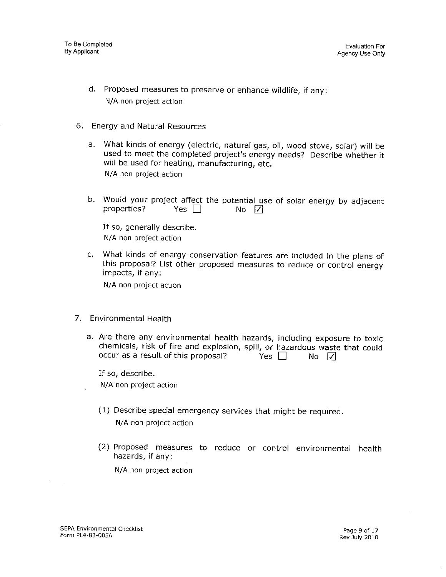- d. Proposed measures to preserve or enhance wildlife, if any: N/A non project action
- 6. Energy and Natural Resources
	- a. What kinds of energy (electric, natural gas, oil, wood stove, solar) will be used to meet the completed project's energy needs? Describe whether it will be used for heating, manufacturing, etc. N/A non project action
	- b. Would your project affect the potential use of solar energy by adjacent Yes  $\Box$ properties?  $\overline{N}$ o  $\overline{V}$

If so, generally describe. N/A non project action

c. What kinds of energy conservation features are included in the plans of this proposal? List other proposed measures to reduce or control energy impacts, if any:

N/A non project action

- 7. Environmental Health
	- a. Are there any environmental health hazards, including exposure to toxic chemicals, risk of fire and explosion, spill, or hazardous waste that could occur as a result of this proposal? Yes  $\Box$  $\overline{N}$ o  $\overline{V}$

If so, describe. N/A non project action

- (1) Describe special emergency services that might be required. N/A non project action
- (2) Proposed measures to reduce or control environmental health hazards, if any: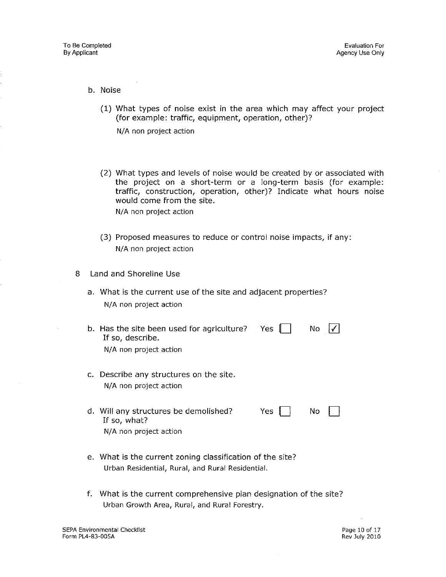b Noise

(1) What types of noise exist in the area which may affect your project (for example: traffic, equipment, operation, other)?

N/A non project action

(2) What types and levels of noise would be created by or associated with the project on a short-term or a long-term basis (for example: traffic, construction, operation, other)? Indicate what hours noise would come from the site.

- (3) Proposed measures to reduce or control noise impacts, if any: N/A non project action
- 8 Land and Shoreline Use
	- a. What is the current use of the site and adiacent properties? N/A non project action

| b. Has the site been used for agriculture? Yes $\ \cdot\ $<br>If so, describe. | $\overline{N}$ o $\overline{V}$ |
|--------------------------------------------------------------------------------|---------------------------------|
| N/A non project action                                                         |                                 |

- c. Describe any structures on the site. N/A non project action
- d. Will any structures be demolished? Yes 1 No. If so, what? N/A non project action
- e. What is the current zoning classification of the site? Urban Residential, Rural, and Rural Residential.
- f. What is the current comprehensive plan designation of the site? Urban Growth Area, Rural, and Rural Forestry.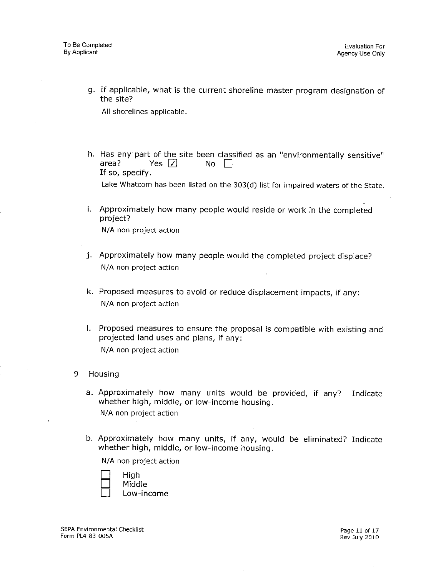g. If applicable, what is the current shoreline master program designation of the site?

All shorelines applicable.

h. Has any part of the site been classified as an "environmentally sensitive" area? Yes  $\nabla$ No  $\Box$ If so, specify.

Lake Whatcom has been listed on the 303(d) list for impaired waters of the State.

i. Approximately how many people would reside or work in the completed project?

N/A non project action

- j. Approximately how many people would the completed project displace? N/A non project action
- k. Proposed measures to avoid or reduce displacement impacts, if any: N/A non project action
- I. Proposed measures to ensure the proposal is compatible with existing and projected land uses and plans, if any:

N/A non project action

#### 9 Housing

- a. Approximately how many units would be provided, if any? Indicate whether high, middle, or low-income housing. N/A non project action
- b. Approximately how many units, if any, would be eliminated? Indicate whether high, middle, or low-income housing.

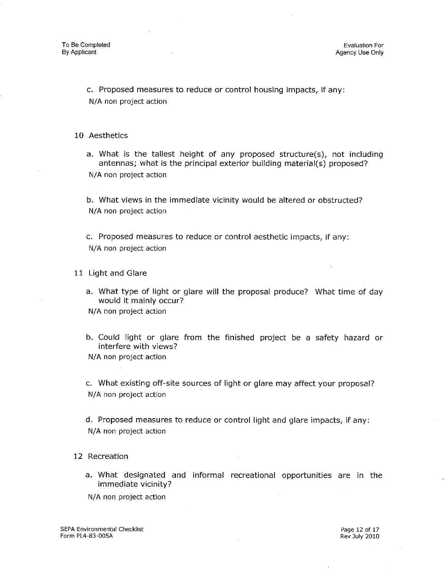**Evaluation For** Agency Use Only

c. Proposed measures to reduce or control housing impacts, if any: N/A non project action

- 10 Aesthetics
	- a. What is the tallest height of any proposed structure(s), not including antennas; what is the principal exterior building material(s) proposed? N/A non project action

b. What views in the immediate vicinity would be altered or obstructed? N/A non project action

c. Proposed measures to reduce or control aesthetic impacts, if any: N/A non project action

11 Light and Glare

a. What type of light or glare will the proposal produce? What time of day would it mainly occur?

N/A non project action

b. Could light or glare from the finished project be a safety hazard or interfere with views? N/A non project action

c. What existing off-site sources of light or glare may affect your proposal? N/A non project action

d. Proposed measures to reduce or control light and glare impacts, if any: N/A non project action

### 12 Recreation

a. What designated and informal recreational opportunities are in the immediate vicinity?

N/A non project action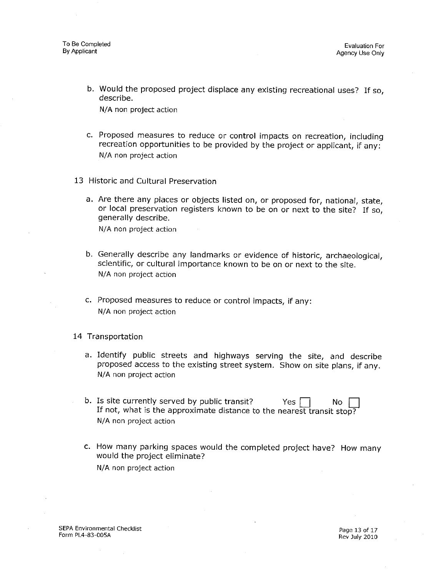b. Would the proposed project displace any existing recreational uses? If so, describe.

N/A non project action

- c. Proposed measures to reduce or control impacts on recreation, including recreation opportunities to be provided by the project or applicant, if any: N/A non project action
- 13 Historic and Cultural Preservation
	- a. Are there any places or objects listed on, or proposed for, national, state, or local preservation registers known to be on or next to the site? If so, generally describe.

N/A non project action

- b. Generally describe any landmarks or evidence of historic, archaeological, scientific, or cultural importance known to be on or next to the site. N/A non project action
- c. Proposed measures to reduce or control impacts, if any: N/A non project action

## 14 Transportation

- a. Identify public streets and highways serving the site, and describe proposed access to the existing street system. Show on site plans, if any, N/A non project action
- b. Is site currently served by public transit? Yes N٥ If not, what is the approximate distance to the nearest transit stop? N/A non project action
- c. How many parking spaces would the completed project have? How many would the project eliminate?

N/A non project action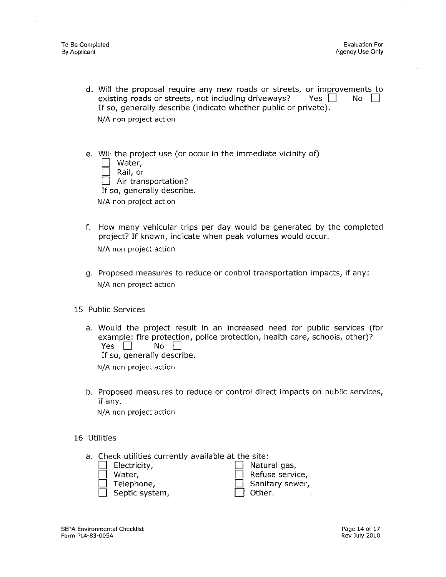- d. Will the proposal require any new roads or streets, or improvements to existing roads or streets, not including driveways? Yes  $| \; |$  $No$   $||$ If so, generally describe (indicate whether public or private). N/A non project action
- e. Will the project use (or occur in the immediate vicinity of)
	- Water,
	- Rail, or

Air transportation?

If so, generally describe.

N/A non project action

f. How many vehicular trips per day would be generated by the completed project? If known, indicate when peak volumes would occur.

N/A non project action

- g. Proposed measures to reduce or control transportation impacts, if any: N/A non project action
- 15 Public Services
	- a. Would the project result in an increased need for public services (for example: fire protection, police protection, health care, schools, other)? Yes  $\Box$ No l If so, generally describe.

N/A non project action

b. Proposed measures to reduce or control direct impacts on public services, if any.

N/A non project action

- 16 Utilities
	- a. Check utilities currently available at the site: Electricity, Natural gas, Refuse service, Water, Telephone, Sanitary sewer, Septic system, Other.

SEPA Environmental Checklist Form PL4-83-005A

Page 14 of 17 Rev July 2010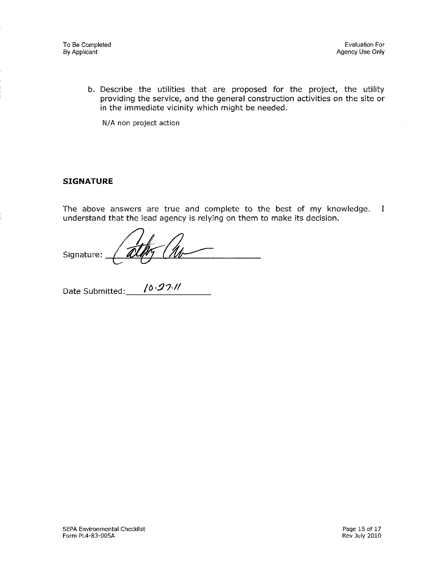b. Describe the utilities that are proposed for the project, the utility providing the service, and the general construction activities on the site or in the immediate vicinity which might be needed.

N/A non project action

## **SIGNATURE**

The above answers are true and complete to the best of my knowledge. I understand that the lead agency is relying on them to make its decision.

 $\sim$ 

 $\mathcal{L}_{\mathcal{A}}$ 

Signature:

 $10 - 27.11$ Date Submitted: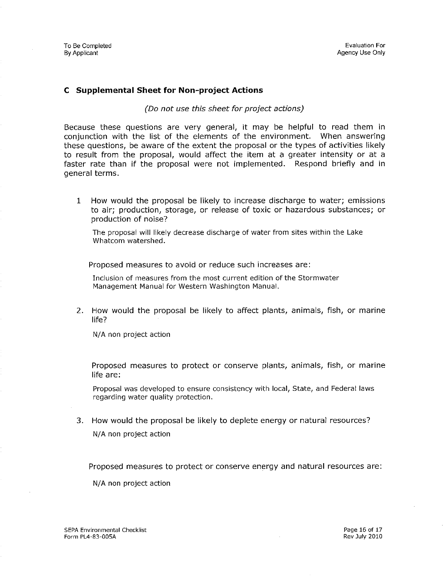### **C** Supplemental Sheet for Non-project Actions

(Do not use this sheet for project actions)

Because these questions are very general, it may be helpful to read them in conjunction with the list of the elements of the environment. When answering these questions, be aware of the extent the proposal or the types of activities likely to result from the proposal, would affect the item at a greater intensity or at a faster rate than if the proposal were not implemented. Respond briefly and in general terms.

1 How would the proposal be likely to increase discharge to water; emissions to air; production, storage, or release of toxic or hazardous substances; or production of noise?

The proposal will likely decrease discharge of water from sites within the Lake Whatcom watershed.

Proposed measures to avoid or reduce such increases are:

Inclusion of measures from the most current edition of the Stormwater Management Manual for Western Washington Manual.

2. How would the proposal be likely to affect plants, animals, fish, or marine life?

N/A non project action

Proposed measures to protect or conserve plants, animals, fish, or marine life are:

Proposal was developed to ensure consistency with local, State, and Federal laws regarding water quality protection.

3. How would the proposal be likely to deplete energy or natural resources? N/A non project action

Proposed measures to protect or conserve energy and natural resources are: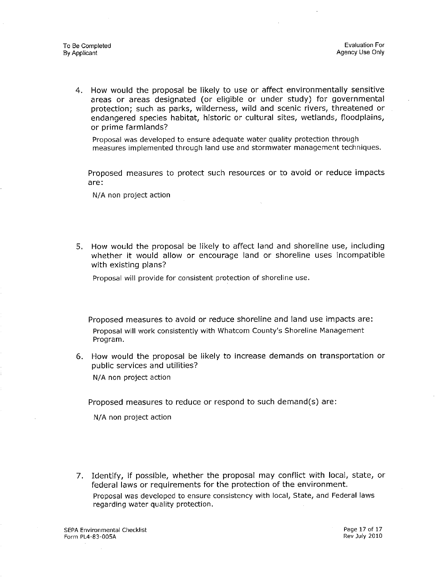4. How would the proposal be likely to use or affect environmentally sensitive areas or areas designated (or eligible or under study) for governmental protection; such as parks, wilderness, wild and scenic rivers, threatened or endangered species habitat, historic or cultural sites, wetlands, floodplains, or prime farmlands?

Proposal was developed to ensure adequate water quality protection through measures implemented through land use and stormwater management techniques.

Proposed measures to protect such resources or to avoid or reduce impacts are:

N/A non project action

5. How would the proposal be likely to affect land and shoreline use, including whether it would allow or encourage land or shoreline uses incompatible with existing plans?

Proposal will provide for consistent protection of shoreline use.

Proposed measures to avoid or reduce shoreline and land use impacts are: Proposal will work consistently with Whatcom County's Shoreline Management Program.

6. How would the proposal be likely to increase demands on transportation or public services and utilities?

N/A non project action

Proposed measures to reduce or respond to such demand(s) are:

N/A non project action

7. Identify, if possible, whether the proposal may conflict with local, state, or federal laws or requirements for the protection of the environment. Proposal was developed to ensure consistency with local, State, and Federal laws regarding water quality protection.

SEPA Environmental Checklist Form PL4-83-005A

Page 17 of 17 Rev July 2010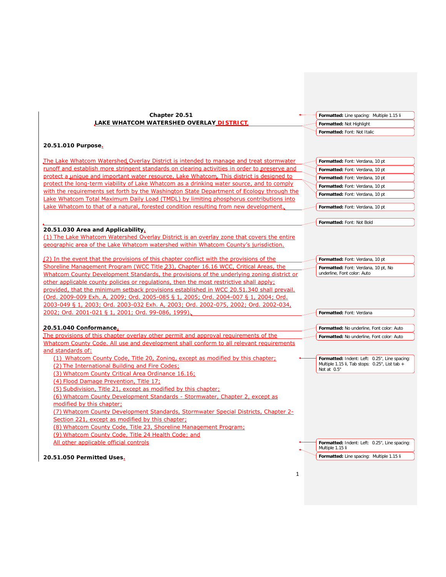| Chapter 20.51                                                                                                                                                                       | Formatted: Line spacing: Multiple 1.15 li                                                       |
|-------------------------------------------------------------------------------------------------------------------------------------------------------------------------------------|-------------------------------------------------------------------------------------------------|
| LAKE WHATCOM WATERSHED OVERLAY <u>DISTRICT.</u>                                                                                                                                     | Formatted: Not Highlight                                                                        |
|                                                                                                                                                                                     | Formatted: Font: Not Italic                                                                     |
|                                                                                                                                                                                     |                                                                                                 |
| 20.51.010 Purpose.                                                                                                                                                                  |                                                                                                 |
|                                                                                                                                                                                     |                                                                                                 |
| The Lake Whatcom Watershed, Overlay District is intended to manage and treat stormwater                                                                                             | Formatted: Font: Verdana, 10 pt                                                                 |
| runoff and establish more stringent standards on clearing activities in order to preserve and                                                                                       | Formatted: Font: Verdana, 10 pt                                                                 |
| protect a unique and important water resource, Lake Whatcom. This district is designed to                                                                                           | Formatted: Font: Verdana, 10 pt                                                                 |
| protect the long-term viability of Lake Whatcom as a drinking water source, and to comply                                                                                           | Formatted: Font: Verdana, 10 pt                                                                 |
| with the requirements set forth by the Washington State Department of Ecology through the<br>Lake Whatcom Total Maximum Daily Load (TMDL) by limiting phosphorus contributions into | Formatted: Font: Verdana, 10 pt                                                                 |
|                                                                                                                                                                                     |                                                                                                 |
| Lake Whatcom to that of a natural, forested condition resulting from new development.                                                                                               | Formatted: Font: Verdana, 10 pt                                                                 |
|                                                                                                                                                                                     | Formatted: Font: Not Bold                                                                       |
| 20.51.030 Area and Applicability.                                                                                                                                                   |                                                                                                 |
| (1) The Lake Whatcom Watershed Overlay District is an overlay zone that covers the entire                                                                                           |                                                                                                 |
| geographic area of the Lake Whatcom watershed within Whatcom County's jurisdiction.                                                                                                 |                                                                                                 |
|                                                                                                                                                                                     |                                                                                                 |
| (2) In the event that the provisions of this chapter conflict with the provisions of the                                                                                            | Formatted: Font: Verdana, 10 pt                                                                 |
| Shoreline Management Program (WCC Title 23), Chapter 16.16 WCC, Critical Areas, the                                                                                                 | Formatted: Font: Verdana, 10 pt, No                                                             |
| Whatcom County Development Standards, the provisions of the underlying zoning district or                                                                                           | underline. Font color: Auto                                                                     |
| other applicable county policies or regulations, then the most restrictive shall apply;                                                                                             |                                                                                                 |
| provided, that the minimum setback provisions established in WCC 20.51.340 shall prevail.                                                                                           |                                                                                                 |
| (Ord. 2009-009 Exh. A, 2009; Ord. 2005-085 § 1, 2005; Ord. 2004-007 § 1, 2004; Ord.                                                                                                 |                                                                                                 |
| 2003-049 § 1, 2003; Ord. 2003-032 Exh. A, 2003; Ord. 2002-075, 2002; Ord. 2002-034,                                                                                                 |                                                                                                 |
| 2002; Ord. 2001-021 § 1, 2001; Ord. 99-086, 1999).                                                                                                                                  | Formatted: Font: Verdana                                                                        |
|                                                                                                                                                                                     |                                                                                                 |
| 20.51.040 Conformance.                                                                                                                                                              | Formatted: No underline, Font color: Auto                                                       |
| The provisions of this chapter overlay other permit and approval requirements of the                                                                                                | Formatted: No underline, Font color: Auto                                                       |
| Whatcom County Code. All use and development shall conform to all relevant requirements                                                                                             |                                                                                                 |
| and standards of:                                                                                                                                                                   |                                                                                                 |
| (1) Whatcom County Code, Title 20, Zoning, except as modified by this chapter;                                                                                                      | Formatted: Indent: Left: 0.25", Line spacing:<br>Multiple 1.15 li, Tab stops: 0.25", List tab + |
| (2) The International Building and Fire Codes;                                                                                                                                      | Not at 0.5"                                                                                     |
| (3) Whatcom County Critical Area Ordinance 16.16;                                                                                                                                   |                                                                                                 |
| (4) Flood Damage Prevention, Title 17;                                                                                                                                              |                                                                                                 |
| (5) Subdivision, Title 21, except as modified by this chapter;                                                                                                                      |                                                                                                 |
| (6) Whatcom County Development Standards - Stormwater, Chapter 2, except as                                                                                                         |                                                                                                 |
| modified by this chapter;                                                                                                                                                           |                                                                                                 |
| (7) Whatcom County Development Standards, Stormwater Special Districts, Chapter 2-                                                                                                  |                                                                                                 |
| Section 221, except as modified by this chapter;                                                                                                                                    |                                                                                                 |
| (8) Whatcom County Code, Title 23, Shoreline Management Program;                                                                                                                    |                                                                                                 |
| (9) Whatcom County Code, Title 24 Health Code; and                                                                                                                                  |                                                                                                 |
| All other applicable official controls                                                                                                                                              | Formatted: Indent: Left: 0.25", Line spacing:<br>Multiple 1.15 li                               |
| 20.51.050 Permitted Uses.                                                                                                                                                           | Formatted: Line spacing: Multiple 1.15 li                                                       |

1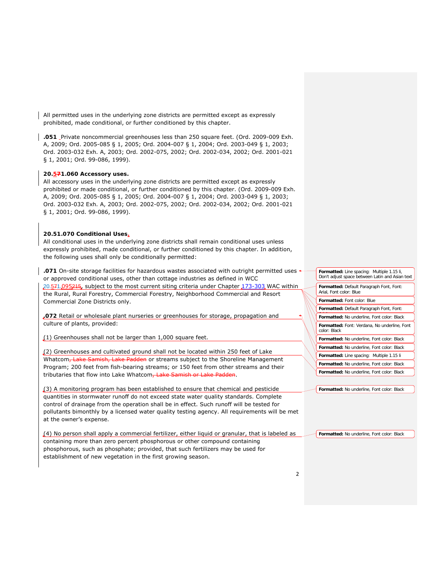All permitted uses in the underlying zone districts are permitted except as expressly prohibited, made conditional, or further conditioned by this chapter.

**.051** Private noncommercial greenhouses less than 250 square feet. (Ord. 2009-009 Exh. A, 2009; Ord. 2005-085 § 1, 2005; Ord. 2004-007 § 1, 2004; Ord. 2003-049 § 1, 2003; Ord. 2003-032 Exh. A, 2003; Ord. 2002-075, 2002; Ord. 2002-034, 2002; Ord. 2001-021 § 1, 2001; Ord. 99-086, 1999).

#### **20.571.060 Accessory uses.**

All accessory uses in the underlying zone districts are permitted except as expressly prohibited or made conditional, or further conditioned by this chapter. (Ord. 2009-009 Exh. A, 2009; Ord. 2005-085 § 1, 2005; Ord. 2004-007 § 1, 2004; Ord. 2003-049 § 1, 2003; Ord. 2003-032 Exh. A, 2003; Ord. 2002-075, 2002; Ord. 2002-034, 2002; Ord. 2001-021 § 1, 2001; Ord. 99-086, 1999).

#### **20.51.070 Conditional Uses.**

All conditional uses in the underlying zone districts shall remain conditional uses unless expressly prohibited, made conditional, or further conditioned by this chapter. In addition, the following uses shall only be conditionally permitted:

| .071 On-site storage facilities for hazardous wastes associated with outright permitted uses $\leftarrow$<br>or approved conditional uses, other than cottage industries as defined in WCC | Formatted: Line spacing: Multiple 1.15 li,<br>Don't adjust space between Latin and Asian text |
|--------------------------------------------------------------------------------------------------------------------------------------------------------------------------------------------|-----------------------------------------------------------------------------------------------|
| 20.571.095245, subject to the most current siting criteria under Chapter 173-303 WAC within<br>the Rural, Rural Forestry, Commercial Forestry, Neighborhood Commercial and Resort          | Formatted: Default Paragraph Font, Font:<br>Arial, Font color: Blue                           |
| Commercial Zone Districts only.                                                                                                                                                            | Formatted: Font color: Blue                                                                   |
|                                                                                                                                                                                            | Formatted: Default Paragraph Font, Font:                                                      |
| "072 Retail or wholesale plant nurseries or greenhouses for storage, propagation and                                                                                                       | Formatted: No underline. Font color: Black                                                    |
| culture of plants, provided:                                                                                                                                                               | Formatted: Font: Verdana, No underline, Font<br>color: Black                                  |
| $(1)$ Greenhouses shall not be larger than 1,000 square feet.                                                                                                                              | Formatted: No underline, Font color: Black                                                    |
|                                                                                                                                                                                            | Formatted: No underline, Font color: Black                                                    |
| (2) Greenhouses and cultivated ground shall not be located within 250 feet of Lake<br>Whatcom, Lake Samish, Lake Padden or streams subject to the Shoreline Management                     | Formatted: Line spacing: Multiple 1.15 li                                                     |
| Program; 200 feet from fish-bearing streams; or 150 feet from other streams and their                                                                                                      | Formatted: No underline, Font color: Black                                                    |
| tributaries that flow into Lake Whatcom, Lake Samish or Lake Padden.                                                                                                                       | Formatted: No underline, Font color: Black                                                    |
|                                                                                                                                                                                            |                                                                                               |
| (3) A monitoring program has been established to ensure that chemical and pesticide                                                                                                        | Formatted: No underline, Font color: Black                                                    |
| quantities in stormwater runoff do not exceed state water quality standards. Complete                                                                                                      |                                                                                               |
| control of drainage from the operation shall be in effect. Such runoff will be tested for                                                                                                  |                                                                                               |
| pollutants bimonthly by a licensed water quality testing agency. All requirements will be met                                                                                              |                                                                                               |
| at the owner's expense.                                                                                                                                                                    |                                                                                               |
|                                                                                                                                                                                            |                                                                                               |
| $(4)$ No person shall apply a commercial fertilizer, either liquid or granular, that is labeled as                                                                                         | Formatted: No underline, Font color: Black                                                    |
| containing more than zero percent phosphorous or other compound containing                                                                                                                 |                                                                                               |
| phosphorous, such as phosphate; provided, that such fertilizers may be used for                                                                                                            |                                                                                               |
| establishment of new vegetation in the first growing season.                                                                                                                               |                                                                                               |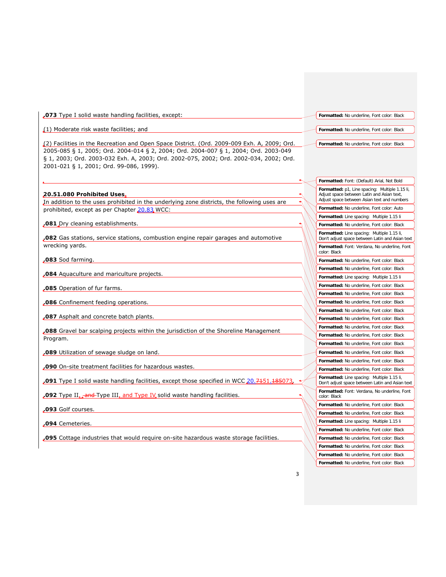| .073 Type I solid waste handling facilities, except:                                             | Formatted: No underline, Font color: Black                                                    |
|--------------------------------------------------------------------------------------------------|-----------------------------------------------------------------------------------------------|
| (1) Moderate risk waste facilities; and                                                          | Formatted: No underline, Font color: Black                                                    |
|                                                                                                  |                                                                                               |
| (2) Facilities in the Recreation and Open Space District. (Ord. 2009-009 Exh. A, 2009; Ord.      | Formatted: No underline, Font color: Black                                                    |
| 2005-085 § 1, 2005; Ord. 2004-014 § 2, 2004; Ord. 2004-007 § 1, 2004; Ord. 2003-049              |                                                                                               |
| § 1, 2003; Ord. 2003-032 Exh. A, 2003; Ord. 2002-075, 2002; Ord. 2002-034, 2002; Ord.            |                                                                                               |
| 2001-021 § 1, 2001; Ord. 99-086, 1999).                                                          |                                                                                               |
|                                                                                                  | Formatted: Font: (Default) Arial, Not Bold                                                    |
|                                                                                                  | Formatted: p1, Line spacing: Multiple 1.15 li,                                                |
| 20.51.080 Prohibited Uses.                                                                       | Adjust space between Latin and Asian text,                                                    |
| In addition to the uses prohibited in the underlying zone districts, the following uses are      | Adjust space between Asian text and numbers                                                   |
| prohibited, except as per Chapter 20.83 WCC:                                                     | Formatted: No underline, Font color: Auto                                                     |
|                                                                                                  | Formatted: Line spacing: Multiple 1.15 li                                                     |
| "081 Dry cleaning establishments.                                                                | Formatted: No underline, Font color: Black                                                    |
| <b>.082</b> Gas stations, service stations, combustion engine repair garages and automotive      | Formatted: Line spacing: Multiple 1.15 li,<br>Don't adjust space between Latin and Asian text |
| wrecking yards.                                                                                  | Formatted: Font: Verdana, No underline, Font                                                  |
|                                                                                                  | color: Black                                                                                  |
| <b>.083</b> Sod farming.                                                                         | Formatted: No underline, Font color: Black                                                    |
|                                                                                                  | Formatted: No underline, Font color: Black                                                    |
| .084 Aquaculture and mariculture projects.                                                       | <b>Formatted:</b> Line spacing: Multiple 1.15 li                                              |
| .085 Operation of fur farms.                                                                     | Formatted: No underline, Font color: Black                                                    |
|                                                                                                  | Formatted: No underline, Font color: Black                                                    |
| .086 Confinement feeding operations.                                                             | Formatted: No underline, Font color: Black                                                    |
|                                                                                                  | Formatted: No underline, Font color: Black                                                    |
| .087 Asphalt and concrete batch plants.                                                          | Formatted: No underline, Font color: Black                                                    |
| <b>.088</b> Gravel bar scalping projects within the jurisdiction of the Shoreline Management     | Formatted: No underline, Font color: Black                                                    |
| Program.                                                                                         | Formatted: No underline, Font color: Black                                                    |
|                                                                                                  | Formatted: No underline, Font color: Black                                                    |
| .089 Utilization of sewage sludge on land.                                                       | Formatted: No underline, Font color: Black                                                    |
|                                                                                                  | Formatted: No underline, Font color: Black                                                    |
| .090 On-site treatment facilities for hazardous wastes.                                          | Formatted: No underline, Font color: Black                                                    |
| <b>091</b> Type I solid waste handling facilities, except those specified in WCC 20.7151.185073. | Formatted: Line spacing: Multiple 1.15 li,<br>Don't adjust space between Latin and Asian text |
| <b>.092</b> Type II <u>, and</u> Type III <u>, and Type IV</u> solid waste handling facilities.  | Formatted: Font: Verdana, No underline, Font<br>color: Black                                  |
|                                                                                                  | Formatted: No underline, Font color: Black                                                    |
| "093 Golf courses.                                                                               | <b>Formatted:</b> No underline, Font color: Black                                             |
| "094 Cemeteries.                                                                                 | Formatted: Line spacing: Multiple 1.15 li                                                     |
|                                                                                                  | Formatted: No underline, Font color: Black                                                    |
| <b>.095</b> Cottage industries that would require on-site hazardous waste storage facilities.    | Formatted: No underline, Font color: Black                                                    |
|                                                                                                  | Formatted: No underline, Font color: Black                                                    |
|                                                                                                  | Formatted: No underline, Font color: Black                                                    |

**Formatted:** No underline, Font color: Black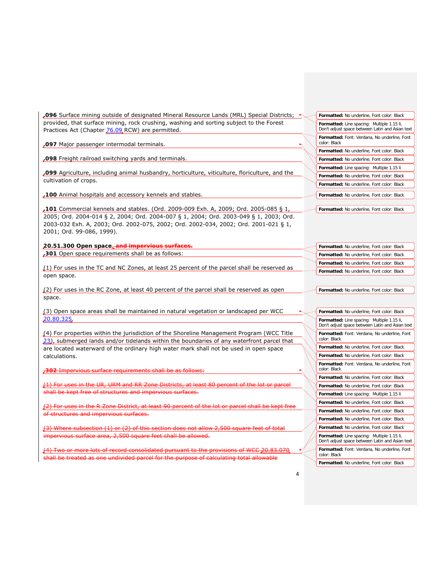| <b>.096</b> Surface mining outside of designated Mineral Resource Lands (MRL) Special Districts; $\rightarrow$                                                                         | Formatted: No underline, Font color: Black                                                    |
|----------------------------------------------------------------------------------------------------------------------------------------------------------------------------------------|-----------------------------------------------------------------------------------------------|
| provided, that surface mining, rock crushing, washing and sorting subject to the Forest<br>Practices Act (Chapter 76.09 RCW) are permitted.                                            | Formatted: Line spacing: Multiple 1.15 li,<br>Don't adjust space between Latin and Asian text |
| .097 Major passenger intermodal terminals.                                                                                                                                             | Formatted: Font: Verdana, No underline, Font<br>color: Black                                  |
|                                                                                                                                                                                        | Formatted: No underline, Font color: Black                                                    |
| .098 Freight railroad switching yards and terminals.                                                                                                                                   | Formatted: No underline, Font color: Black                                                    |
|                                                                                                                                                                                        | Formatted: Line spacing: Multiple 1.15 li                                                     |
| ,099 Agriculture, including animal husbandry, horticulture, viticulture, floriculture, and the<br>cultivation of crops.                                                                | Formatted: No underline, Font color: Black                                                    |
|                                                                                                                                                                                        | Formatted: No underline, Font color: Black                                                    |
| .100 Animal hospitals and accessory kennels and stables.                                                                                                                               | Formatted: No underline, Font color: Black                                                    |
| .101 Commercial kennels and stables. (Ord. 2009-009 Exh. A, 2009; Ord. 2005-085 § 1,                                                                                                   | Formatted: No underline, Font color: Black                                                    |
| 2005; Ord. 2004-014 § 2, 2004; Ord. 2004-007 § 1, 2004; Ord. 2003-049 § 1, 2003; Ord.                                                                                                  |                                                                                               |
| 2003-032 Exh. A, 2003; Ord. 2002-075, 2002; Ord. 2002-034, 2002; Ord. 2001-021 § 1,<br>2001; Ord. 99-086, 1999).                                                                       |                                                                                               |
|                                                                                                                                                                                        |                                                                                               |
| 20.51.300 Open space, and impervious surfaces.                                                                                                                                         | Formatted: No underline, Font color: Black                                                    |
| .301 Open space requirements shall be as follows:                                                                                                                                      | Formatted: No underline, Font color: Black                                                    |
|                                                                                                                                                                                        | Formatted: No underline, Font color: Black                                                    |
| $(1)$ For uses in the TC and NC Zones, at least 25 percent of the parcel shall be reserved as                                                                                          | Formatted: No underline, Font color: Black                                                    |
| open space.                                                                                                                                                                            |                                                                                               |
| (2) For uses in the RC Zone, at least 40 percent of the parcel shall be reserved as open                                                                                               | Formatted: No underline, Font color: Black                                                    |
| space.                                                                                                                                                                                 |                                                                                               |
|                                                                                                                                                                                        |                                                                                               |
| (3) Open space areas shall be maintained in natural vegetation or landscaped per WCC                                                                                                   | Formatted: No underline, Font color: Black                                                    |
| 20.80.325                                                                                                                                                                              | Formatted: Line spacing: Multiple 1.15 li,<br>Don't adjust space between Latin and Asian text |
| (4) For properties within the jurisdiction of the Shoreline Management Program (WCC Title<br>23), submerged lands and/or tidelands within the boundaries of any waterfront parcel that | Formatted: Font: Verdana, No underline, Font<br>color: Black                                  |
|                                                                                                                                                                                        |                                                                                               |
| are located waterward of the ordinary high water mark shall not be used in open space                                                                                                  | Formatted: No underline, Font color: Black                                                    |
| calculations.                                                                                                                                                                          | Formatted: No underline, Font color: Black                                                    |
| Impervious surface requirements shall be                                                                                                                                               | Formatted: Font: Verdana, No underline, Font<br>color: Black                                  |
|                                                                                                                                                                                        | Formatted: No underline, Font color: Black                                                    |
| (1) For uses in the UR, URM and RR Zone Districts, at least 80 percent of the lot or parcel                                                                                            | Formatted: No underline, Font color: Black                                                    |
| shall be kept free of structures and impervious surfaces.                                                                                                                              | Formatted: Line spacing: Multiple 1.15 li                                                     |
|                                                                                                                                                                                        | Formatted: No underline, Font color: Black                                                    |
| (2) For uses in the R Zone District, at least 90 percent of the lot or parcel shall be kept free                                                                                       | Formatted: No underline, Font color: Black                                                    |
| of structures and impervious surfaces.                                                                                                                                                 | Formatted: No underline, Font color: Black                                                    |
| .(3) Where subsection (1) or (2) of this section does not allow 2,500 square                                                                                                           | Formatted: No underline, Font color: Black                                                    |
| impervious surface area, 2,500 square feet shall be allowed.                                                                                                                           | Formatted: Line spacing: Multiple 1.15 li,<br>Don't adjust space between Latin and Asian text |
| <del>Two or more lots of record consolidated pursuant to the provisions of WCC <u>20.83.070</u></del>                                                                                  | Formatted: Font: Verdana, No underline, Font                                                  |
| shall be treated as one undivided parcel for the purpose of calculating total allowable                                                                                                | color: Black<br>Formatted: No underline, Font color: Black                                    |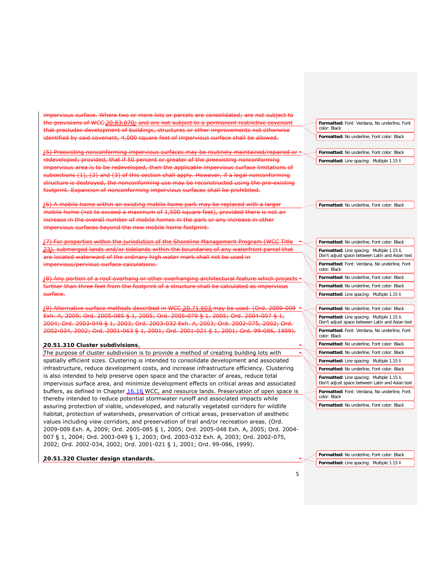iervious surface. Where two or more lots or parcels are consolidated; are not subject to the provisions of WCC 20.83.070; and are not subject to a permanent restrictive covenant (5) Preexisting nonconforming impervious surfaces may be routinely maintained/repaired or redeveloped; provided, that if 50 percent or greater of the preexisting nonconforming ervious area is to be redeveloped, then the applicable impervious surface limitations  $\overline{\phantom{a}}$ ctions (1), (2) and (3) of this section shall apply. However, if a legal nonconforming tructure is destroyed, the nonconforming use may be reconstructed using the pre-existing footprint. Expansion of nonconforming impervious surfaces shall be prohibited. that precludes development of buildings, structures or other improvements not otherwise identified by said covenant, 4,000 square feet of impervious surface shall be allowed. bile home within an existing mobile home park may be replaced with mobile home (not to exceed a maximum of 1,500 square feet), provided there is not an increase in the overall number of mobile homes in the park or any increase in other ervious surfaces beyond the new mobile home footprint. 7) For properties within the jurisdiction of the Shoreline Management Program (WCC 23 Any portion of a roof overhang or other overhanging architectural feature of a further than three feet from the footprint of a structure shall be calculated surface. submerged lands and/or tidelands within the boundaries of any waterfront parcel that re located waterward of the ordinary high water mark shall not be used in impervious/pervious surface calculations. (9) Alternative surface methods described in WCC 20.71.603 **20.51.310 Cluster subdivisions.** may be used. (Ord. 2009-009 Exh. A, 2009; Ord. 2005-085 § 1, 2005; Ord. 2005-079 § 1, 2005; Ord. 2004-007 § 1, 2004; Ord. 2003-049 § 1, 2003; Ord. 2003-032 Exh. A, 2003; Ord. 2002-075, 2002; Ord. 2002-034, 2002; Ord. 2001-063 § 1, 2001; Ord. 2001-021 § 1, 2001; Ord. 99-086, 1999). The purpose of cluster subdivision is to provide a method of creating building lots with spatially efficient sizes. Clustering is intended to consolidate development and associated infrastructure, reduce development costs, and increase infrastructure efficiency. Clustering is also intended to help preserve open space and the character of areas, reduce total impervious surface area, and minimize development effects on critical areas and associated buffers, as defined in Chapter [16.16](http://www.codepublishing.com/wa/whatcomcounty/html/Whatco16/Whatco1616.html#16.16) WCC, and resource lands. Preservation of open space is thereby intended to reduce potential stormwater runoff and associated impacts while assuring protection of viable, undeveloped, and naturally vegetated corridors for wildlife habitat, protection of watersheds, preservation of critical areas, preservation of aesthetic values including view corridors, and preservation of trail and/or recreation areas. (Ord. 2009-009 Exh. A, 2009; Ord. 2005-085 § 1, 2005; Ord. 2005-048 Exh. A, 2005; Ord. 2004- 007 § 1, 2004; Ord. 2003-049 § 1, 2003; Ord. 2003-032 Exh. A, 2003; Ord. 2002-075, 2002; Ord. 2002-034, 2002; Ord. 2001-021 § 1, 2001; Ord. 99-086, 1999). **Formatted:** Font: Verdana, No underline, Font color: Black **Formatted:** No underline, Font color: Black **Formatted:** No underline, Font color: Black **Formatted:** Line spacing: Multiple 1.15 li **Formatted:** No underline, Font color: Black **Formatted:** No underline, Font color: Black **Formatted:** Line spacing: Multiple 1.15 li, Don't adjust space between Latin and Asian text **Formatted:** Font: Verdana, No underline, Font color: Black **Formatted:** No underline, Font color: Black **Formatted:** No underline, Font color: Black **Formatted:** Line spacing: Multiple 1.15 li **Formatted:** No underline, Font color: Black **Formatted:** Line spacing: Multiple 1.15 li, Don't adjust space between Latin and Asian text **Formatted:** Font: Verdana, No underline, Font color: Black **Formatted:** No underline, Font color: Black **Formatted:** No underline, Font color: Black **Formatted:** Line spacing: Multiple 1.15 li **Formatted:** No underline, Font color: Black **Formatted:** Line spacing: Multiple 1.15 li, Don't adjust space between Latin and Asian text **Formatted:** Font: Verdana, No underline, Font color: Black **Formatted:** No underline, Font color: Black **Formatted:** No underline, Font color: Black

**20.51.320 Cluster design standards.**

**Formatted:** Line spacing: Multiple 1.15 li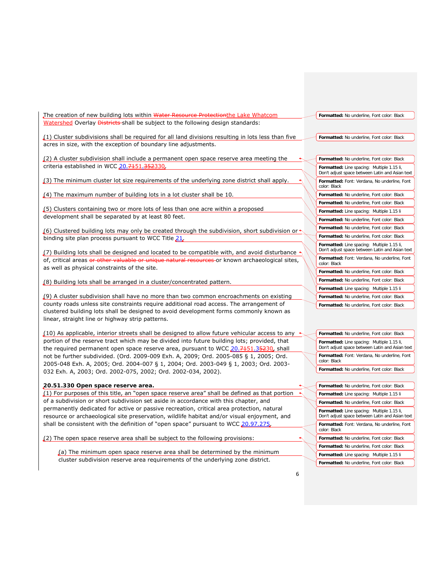| <u>Watershed</u> Overlay <del>Districts</del> -shall be subject to the following design standards:            |                                                              |
|---------------------------------------------------------------------------------------------------------------|--------------------------------------------------------------|
| $(1)$ Cluster subdivisions shall be required for all land divisions resulting in lots less than five          | Formatted: No underline, Font color: Black                   |
| acres in size, with the exception of boundary line adjustments.                                               |                                                              |
| (2) A cluster subdivision shall include a permanent open space reserve area meeting the                       | Formatted: No underline, Font color: Black                   |
| criteria established in WCC 20.7451.352330.                                                                   | Formatted: Line spacing: Multiple 1.15 li,                   |
|                                                                                                               | Don't adjust space between Latin and Asian text              |
| $(3)$ The minimum cluster lot size requirements of the underlying zone district shall apply.                  | Formatted: Font: Verdana, No underline, Font<br>color: Black |
| $(4)$ The maximum number of building lots in a lot cluster shall be 10.                                       | Formatted: No underline, Font color: Black                   |
|                                                                                                               | Formatted: No underline, Font color: Black                   |
| (5) Clusters containing two or more lots of less than one acre within a proposed                              | Formatted: Line spacing: Multiple 1.15 li                    |
| development shall be separated by at least 80 feet.                                                           | Formatted: No underline, Font color: Black                   |
|                                                                                                               | Formatted: No underline, Font color: Black                   |
| (6) Clustered building lots may only be created through the subdivision, short subdivision or $\overline{\ }$ | Formatted: No underline, Font color: Black                   |
| binding site plan process pursuant to WCC Title $21$ .                                                        | Formatted: Line spacing: Multiple 1.15 li,                   |
| . (7) Building lots shall be designed and located to be compatible with, and avoid disturbance.               | Don't adjust space between Latin and Asian text              |
| of, critical areas or other valuable or unique natural resources or known archaeological sites,               | Formatted: Font: Verdana, No underline, Font<br>color: Black |
| as well as physical constraints of the site.                                                                  | Formatted: No underline, Font color: Black                   |
|                                                                                                               | Formatted: No underline, Font color: Black                   |
| $(8)$ Building lots shall be arranged in a cluster/concentrated pattern.                                      | Formatted: Line spacing: Multiple 1.15 li                    |
| (9) A cluster subdivision shall have no more than two common encroachments on existing                        | <b>Formatted: No underline. Font color: Black</b>            |
| county roads unless site constraints require additional road access. The arrangement of                       | Formatted: No underline, Font color: Black                   |
| clustered building lots shall be designed to avoid development forms commonly known as                        |                                                              |
| linear, straight line or highway strip patterns.                                                              |                                                              |
|                                                                                                               |                                                              |
| (10) As applicable, interior streets shall be designed to allow future vehicular access to any                | <b>Formatted: No underline. Font color: Black</b>            |
| portion of the reserve tract which may be divided into future building lots; provided, that                   | Formatted: Line spacing: Multiple 1.15 li,                   |
| the required permanent open space reserve area, pursuant to WCC 20.7451.35230, shall                          | Don't adjust space between Latin and Asian text              |
| not be further subdivided. (Ord. 2009-009 Exh. A, 2009; Ord. 2005-085 § 1, 2005; Ord.                         | Formatted: Font: Verdana, No underline, Font<br>color: Black |
| 2005-048 Exh. A, 2005; Ord. 2004-007 § 1, 2004; Ord. 2003-049 § 1, 2003; Ord. 2003-                           | Formatted: No underline, Font color: Black                   |
| 032 Exh. A, 2003; Ord. 2002-075, 2002; Ord. 2002-034, 2002).                                                  |                                                              |
| 20.51.330 Open space reserve area.                                                                            | Formatted: No underline, Font color: Black                   |
| (1) For purposes of this title, an "open space reserve area" shall be defined as that portion                 | Formatted: Line spacing: Multiple 1.15 li                    |
| of a subdivision or short subdivision set aside in accordance with this chapter, and                          | Formatted: No underline, Font color: Black                   |
| permanently dedicated for active or passive recreation, critical area protection, natural                     | Formatted: Line spacing: Multiple 1.15 li,                   |
| resource or archaeological site preservation, wildlife habitat and/or visual enjoyment, and                   | Don't adjust space between Latin and Asian text              |
| shall be consistent with the definition of "open space" pursuant to WCC 20.97.275.                            | Formatted: Font: Verdana, No underline, Font<br>color: Black |
| $(2)$ The open space reserve area shall be subject to the following provisions:                               | Formatted: No underline, Font color: Black                   |
|                                                                                                               | Formatted: No underline, Font color: Black                   |
| (a) The minimum open space reserve area shall be determined by the minimum                                    | Formatted: Line spacing: Multiple 1.15 li                    |
| cluster subdivision reserve area requirements of the underlying zone district.                                | Formatted: No underline, Font color: Black                   |

The creation of new building lots within <del>Water Resource Protectionthe Lake Whatcom</del>

**Formatted:** No underline, Font color: Black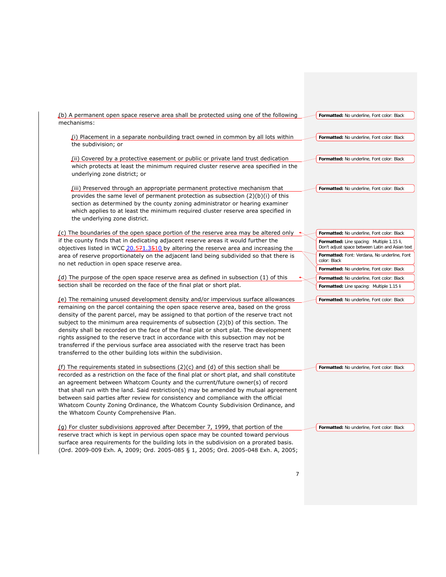| (b) A permanent open space reserve area shall be protected using one of the following                                                                                            | Formatted: No underline, Font color: Black                                                      |
|----------------------------------------------------------------------------------------------------------------------------------------------------------------------------------|-------------------------------------------------------------------------------------------------|
| mechanisms:                                                                                                                                                                      |                                                                                                 |
| (i) Placement in a separate nonbuilding tract owned in common by all lots within                                                                                                 | Formatted: No underline, Font color: Black                                                      |
| the subdivision; or                                                                                                                                                              |                                                                                                 |
|                                                                                                                                                                                  |                                                                                                 |
| (ii) Covered by a protective easement or public or private land trust dedication                                                                                                 | Formatted: No underline, Font color: Black                                                      |
| which protects at least the minimum required cluster reserve area specified in the<br>underlying zone district; or                                                               |                                                                                                 |
|                                                                                                                                                                                  |                                                                                                 |
| (iii) Preserved through an appropriate permanent protective mechanism that                                                                                                       | Formatted: No underline, Font color: Black                                                      |
| provides the same level of permanent protection as subsection $(2)(b)(i)$ of this                                                                                                |                                                                                                 |
| section as determined by the county zoning administrator or hearing examiner                                                                                                     |                                                                                                 |
| which applies to at least the minimum required cluster reserve area specified in<br>the underlying zone district.                                                                |                                                                                                 |
|                                                                                                                                                                                  |                                                                                                 |
| $\zeta$ The boundaries of the open space portion of the reserve area may be altered only                                                                                         | Formatted: No underline, Font color: Black                                                      |
| if the county finds that in dedicating adjacent reserve areas it would further the                                                                                               | Formatted: Line spacing: Multiple 1.15 li,                                                      |
| objectives listed in WCC $20.571.3510$ by altering the reserve area and increasing the<br>area of reserve proportionately on the adjacent land being subdivided so that there is | Don't adjust space between Latin and Asian text<br>Formatted: Font: Verdana, No underline, Font |
| no net reduction in open space reserve area.                                                                                                                                     | color: Black                                                                                    |
|                                                                                                                                                                                  | Formatted: No underline, Font color: Black                                                      |
| (d) The purpose of the open space reserve area as defined in subsection (1) of this                                                                                              | Formatted: No underline, Font color: Black                                                      |
| section shall be recorded on the face of the final plat or short plat.                                                                                                           | Formatted: Line spacing: Multiple 1.15 li                                                       |
| $\Omega$ The remaining unused development density and/or impervious surface allowances                                                                                           | Formatted: No underline, Font color: Black                                                      |
| remaining on the parcel containing the open space reserve area, based on the gross                                                                                               |                                                                                                 |
| density of the parent parcel, may be assigned to that portion of the reserve tract not                                                                                           |                                                                                                 |
| subject to the minimum area requirements of subsection $(2)(b)$ of this section. The                                                                                             |                                                                                                 |
| density shall be recorded on the face of the final plat or short plat. The development                                                                                           |                                                                                                 |
| rights assigned to the reserve tract in accordance with this subsection may not be                                                                                               |                                                                                                 |
| transferred if the pervious surface area associated with the reserve tract has been                                                                                              |                                                                                                 |
| transferred to the other building lots within the subdivision.                                                                                                                   |                                                                                                 |
| $(f)$ The requirements stated in subsections (2)(c) and (d) of this section shall be                                                                                             | Formatted: No underline, Font color: Black                                                      |
| recorded as a restriction on the face of the final plat or short plat, and shall constitute                                                                                      |                                                                                                 |
| an agreement between Whatcom County and the current/future owner(s) of record                                                                                                    |                                                                                                 |
| that shall run with the land. Said restriction(s) may be amended by mutual agreement                                                                                             |                                                                                                 |
| between said parties after review for consistency and compliance with the official                                                                                               |                                                                                                 |
| Whatcom County Zoning Ordinance, the Whatcom County Subdivision Ordinance, and                                                                                                   |                                                                                                 |
| the Whatcom County Comprehensive Plan.                                                                                                                                           |                                                                                                 |
| $(q)$ For cluster subdivisions approved after December 7, 1999, that portion of the                                                                                              | Formatted: No underline, Font color: Black                                                      |
| reserve tract which is kept in pervious open space may be counted toward pervious                                                                                                |                                                                                                 |
| surface area requirements for the building lots in the subdivision on a prorated basis.                                                                                          |                                                                                                 |
| (Ord. 2009-009 Exh. A, 2009; Ord. 2005-085 § 1, 2005; Ord. 2005-048 Exh. A, 2005;                                                                                                |                                                                                                 |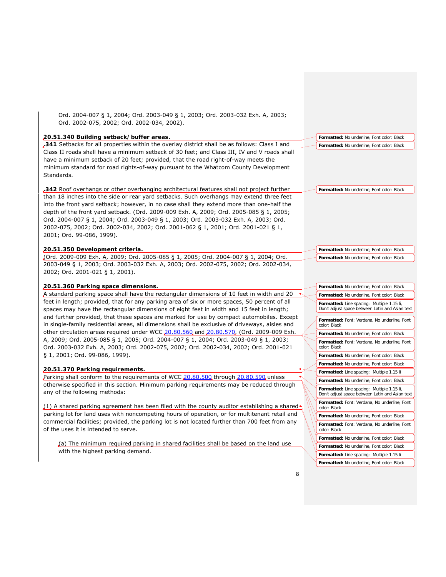Ord. 2004-007 § 1, 2004; Ord. 2003-049 § 1, 2003; Ord. 2003-032 Exh. A, 2003; Ord. 2002-075, 2002; Ord. 2002-034, 2002).

| 20.51.340 Building setback/buffer areas.                                                                                         | Formatted: No underline, Font color: Black                                                    |
|----------------------------------------------------------------------------------------------------------------------------------|-----------------------------------------------------------------------------------------------|
| 241 Setbacks for all properties within the overlay district shall be as follows: Class I and                                     | Formatted: No underline, Font color: Black                                                    |
| Class II roads shall have a minimum setback of 30 feet; and Class III, IV and V roads shall                                      |                                                                                               |
| have a minimum setback of 20 feet; provided, that the road right-of-way meets the                                                |                                                                                               |
| minimum standard for road rights-of-way pursuant to the Whatcom County Development                                               |                                                                                               |
| Standards.                                                                                                                       |                                                                                               |
|                                                                                                                                  |                                                                                               |
| 342 Roof overhangs or other overhanging architectural features shall not project further                                         | Formatted: No underline, Font color: Black                                                    |
| than 18 inches into the side or rear yard setbacks. Such overhangs may extend three feet                                         |                                                                                               |
| into the front yard setback; however, in no case shall they extend more than one-half the                                        |                                                                                               |
| depth of the front yard setback. (Ord. 2009-009 Exh. A, 2009; Ord. 2005-085 § 1, 2005;                                           |                                                                                               |
| Ord. 2004-007 § 1, 2004; Ord. 2003-049 § 1, 2003; Ord. 2003-032 Exh. A, 2003; Ord.                                               |                                                                                               |
| 2002-075, 2002; Ord. 2002-034, 2002; Ord. 2001-062 § 1, 2001; Ord. 2001-021 § 1,                                                 |                                                                                               |
| 2001; Ord. 99-086, 1999).                                                                                                        |                                                                                               |
|                                                                                                                                  |                                                                                               |
| 20.51.350 Development criteria.                                                                                                  | Formatted: No underline, Font color: Black                                                    |
| (Ord. 2009-009 Exh. A, 2009; Ord. 2005-085 § 1, 2005; Ord. 2004-007 § 1, 2004; Ord.                                              | Formatted: No underline, Font color: Black                                                    |
| 2003-049 § 1, 2003; Ord. 2003-032 Exh. A, 2003; Ord. 2002-075, 2002; Ord. 2002-034,                                              |                                                                                               |
| 2002; Ord. 2001-021 § 1, 2001).                                                                                                  |                                                                                               |
|                                                                                                                                  |                                                                                               |
| 20.51.360 Parking space dimensions.<br>A standard parking space shall have the rectangular dimensions of 10 feet in width and 20 | Formatted: No underline, Font color: Black                                                    |
| feet in length; provided, that for any parking area of six or more spaces, 50 percent of all                                     | Formatted: No underline, Font color: Black                                                    |
| spaces may have the rectangular dimensions of eight feet in width and 15 feet in length;                                         | Formatted: Line spacing: Multiple 1.15 li,<br>Don't adjust space between Latin and Asian text |
| and further provided, that these spaces are marked for use by compact automobiles. Except                                        |                                                                                               |
| in single-family residential areas, all dimensions shall be exclusive of driveways, aisles and                                   | Formatted: Font: Verdana, No underline, Font<br>color: Black                                  |
| other circulation areas required under WCC 20.80.560 and 20.80.570. (Ord. 2009-009 Exh.                                          | Formatted: No underline, Font color: Black                                                    |
| A, 2009; Ord. 2005-085 § 1, 2005; Ord. 2004-007 § 1, 2004; Ord. 2003-049 § 1, 2003;                                              |                                                                                               |
| Ord. 2003-032 Exh. A, 2003; Ord. 2002-075, 2002; Ord. 2002-034, 2002; Ord. 2001-021                                              | Formatted: Font: Verdana, No underline, Font<br>color: Black                                  |
| § 1, 2001; Ord. 99-086, 1999).                                                                                                   | Formatted: No underline, Font color: Black                                                    |
|                                                                                                                                  | Formatted: No underline, Font color: Black                                                    |
| 20.51.370 Parking requirements.                                                                                                  | Formatted: Line spacing: Multiple 1.15 li                                                     |
| Parking shall conform to the requirements of WCC 20.80.500 through 20.80.590 unless                                              | Formatted: No underline, Font color: Black                                                    |
| otherwise specified in this section. Minimum parking requirements may be reduced through                                         | Formatted: Line spacing: Multiple 1.15 li,                                                    |
| any of the following methods:                                                                                                    | Don't adjust space between Latin and Asian text                                               |
| (1) A shared parking agreement has been filed with the county auditor establishing a shared $\gamma$                             | Formatted: Font: Verdana, No underline, Font                                                  |
| parking lot for land uses with noncompeting hours of operation, or for multitenant retail and                                    | color: Black                                                                                  |
| commercial facilities; provided, the parking lot is not located further than 700 feet from any                                   | Formatted: No underline, Font color: Black                                                    |
| of the uses it is intended to serve.                                                                                             | Formatted: Font: Verdana, No underline, Font<br>color: Black                                  |
|                                                                                                                                  | Formatted: No underline, Font color: Black                                                    |
| (a) The minimum required parking in shared facilities shall be based on the land use                                             | Formatted: No underline, Font color: Black                                                    |
| with the highest parking demand.                                                                                                 | Formatted: Line spacing: Multiple 1.15 li                                                     |
|                                                                                                                                  | Formatted: No underline. Font color: Black                                                    |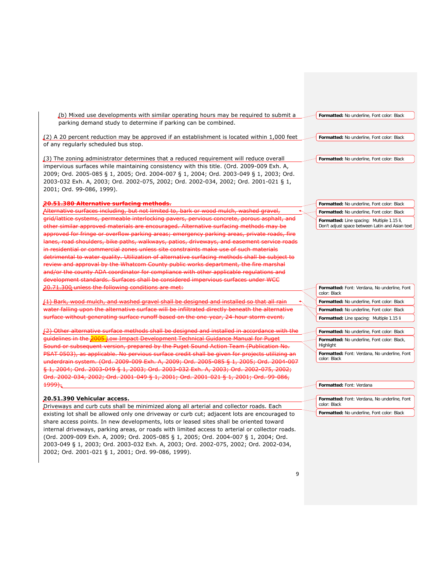| (b) Mixed use developments with similar operating hours may be required to submit a                                                                                                  | Formatted: No underline, Font color: Black                                                    |
|--------------------------------------------------------------------------------------------------------------------------------------------------------------------------------------|-----------------------------------------------------------------------------------------------|
| parking demand study to determine if parking can be combined.                                                                                                                        |                                                                                               |
|                                                                                                                                                                                      |                                                                                               |
| (2) A 20 percent reduction may be approved if an establishment is located within 1,000 feet                                                                                          | Formatted: No underline, Font color: Black                                                    |
| of any regularly scheduled bus stop.                                                                                                                                                 |                                                                                               |
| (3) The zoning administrator determines that a reduced requirement will reduce overall                                                                                               | Formatted: No underline, Font color: Black                                                    |
| impervious surfaces while maintaining consistency with this title. (Ord. 2009-009 Exh. A,                                                                                            |                                                                                               |
| 2009; Ord. 2005-085 § 1, 2005; Ord. 2004-007 § 1, 2004; Ord. 2003-049 § 1, 2003; Ord.                                                                                                |                                                                                               |
| 2003-032 Exh. A, 2003; Ord. 2002-075, 2002; Ord. 2002-034, 2002; Ord. 2001-021 § 1,                                                                                                  |                                                                                               |
| 2001; Ord. 99-086, 1999).                                                                                                                                                            |                                                                                               |
|                                                                                                                                                                                      |                                                                                               |
| , <del>20.51.380 Alternative surfacing methods.</del>                                                                                                                                | Formatted: No underline, Font color: Black                                                    |
| Alternative surfaces including, but not limited to, bark or wood mulch, washed gravel,                                                                                               | Formatted: No underline, Font color: Black                                                    |
| grid/lattice systems, permeable interlocking pavers, pervious concrete, porous asphalt, and<br>other similar approved materials are encouraged. Alternative surfacing methods may be | Formatted: Line spacing: Multiple 1.15 li,<br>Don't adjust space between Latin and Asian text |
| <del>approved for fringe or overflow parking areas; emergency parking areas, private roads, fire</del>                                                                               |                                                                                               |
| lanes, road shoulders, bike paths, walkways, patios, driveways, and easement service roads                                                                                           |                                                                                               |
| in residential or commercial zones unless site constraints make use of such materials                                                                                                |                                                                                               |
| detrimental to water quality. Utilization of alternative surfacing methods shall be subject to                                                                                       |                                                                                               |
| review and approval by the Whatcom County public works department, the fire marshal                                                                                                  |                                                                                               |
| and/or the county ADA coordinator for compliance with other applicable regulations and                                                                                               |                                                                                               |
| development standards. Surfaces shall be considered impervious surfaces under WCC                                                                                                    |                                                                                               |
| 20.71.300 unless the following conditions are met:                                                                                                                                   | Formatted: Font: Verdana, No underline, Font<br>color: Black                                  |
| (1) Bark, wood mulch, and washed gravel shall be designed and installed so that all rain                                                                                             | Formatted: No underline, Font color: Black                                                    |
| water falling upon the alternative surface will be infiltrated directly beneath the alternative                                                                                      | Formatted: No underline, Font color: Black                                                    |
| surface without generating surface runoff based on the one year, 24 hour storm event.                                                                                                | Formatted: Line spacing: Multiple 1.15 li                                                     |
|                                                                                                                                                                                      |                                                                                               |
| $(2)$ Other alternative surface methods shall be designed and installed in accordance with the                                                                                       | Formatted: No underline, Font color: Black                                                    |
| guidelines in the 2005 Low Impact Development Technical Guidance Manual for Puget                                                                                                    | Formatted: No underline, Font color: Black,                                                   |
| Sound or subsequent version, prepared by the Puget Sound Action Team (Publication No.                                                                                                | Highlight                                                                                     |
| PSAT 0503), as applicable. No pervious surface credit shall be given for projects utilizing an                                                                                       | Formatted: Font: Verdana, No underline, Font<br>color: Black                                  |
| underdrain system. (Ord. 2009-009 Exh. A, 2009; Ord. 2005-085 § 1, 2005; Ord. 2004-007<br>§ 1, 2004; Ord. 2003 049 § 1, 2003; Ord. 2003 032 Exh. A, 2003; Ord. 2002 075, 2002;       |                                                                                               |
| Ord. 2002 034, 2002; Ord. 2001 049 § 1, 2001; Ord. 2001 021 § 1, 2001; Ord. 99 086,                                                                                                  |                                                                                               |
| <del>1999).</del>                                                                                                                                                                    | Formatted: Font: Verdana                                                                      |
|                                                                                                                                                                                      |                                                                                               |
| 20.51.390 Vehicular access.                                                                                                                                                          | Formatted: Font: Verdana, No underline, Font                                                  |
| Driveways and curb cuts shall be minimized along all arterial and collector roads. Each                                                                                              | color: Black                                                                                  |
| existing lot shall be allowed only one driveway or curb cut; adjacent lots are encouraged to                                                                                         | Formatted: No underline, Font color: Black                                                    |
| share access points. In new developments, lots or leased sites shall be oriented toward                                                                                              |                                                                                               |
| internal driveways, parking areas, or roads with limited access to arterial or collector roads.                                                                                      |                                                                                               |
| (Ord. 2009-009 Exh. A, 2009; Ord. 2005-085 § 1, 2005; Ord. 2004-007 § 1, 2004; Ord.                                                                                                  |                                                                                               |

2003-049 § 1, 2003; Ord. 2003-032 Exh. A, 2003; Ord. 2002-075, 2002; Ord. 2002-034,

2002; Ord. 2001-021 § 1, 2001; Ord. 99-086, 1999).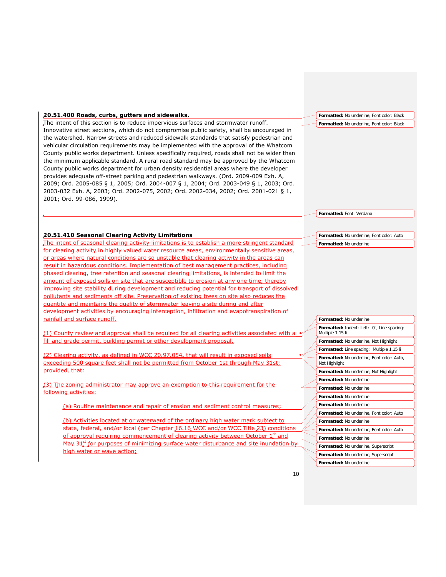| 20.51.400 Roads, curbs, gutters and sidewalks.                                                 | Formatted: No underline, Font color: Black |
|------------------------------------------------------------------------------------------------|--------------------------------------------|
| The intent of this section is to reduce impervious surfaces and stormwater runoff.             | Formatted: No underline, Font color: Black |
| Innovative street sections, which do not compromise public safety, shall be encouraged in      |                                            |
| the watershed. Narrow streets and reduced sidewalk standards that satisfy pedestrian and       |                                            |
| vehicular circulation requirements may be implemented with the approval of the Whatcom         |                                            |
| County public works department. Unless specifically required, roads shall not be wider than    |                                            |
| the minimum applicable standard. A rural road standard may be approved by the Whatcom          |                                            |
| County public works department for urban density residential areas where the developer         |                                            |
| provides adequate off-street parking and pedestrian walkways. (Ord. 2009-009 Exh. A,           |                                            |
| 2009; Ord. 2005-085 § 1, 2005; Ord. 2004-007 § 1, 2004; Ord. 2003-049 § 1, 2003; Ord.          |                                            |
| 2003-032 Exh. A, 2003; Ord. 2002-075, 2002; Ord. 2002-034, 2002; Ord. 2001-021 § 1,            |                                            |
| 2001; Ord. 99-086, 1999).                                                                      |                                            |
|                                                                                                |                                            |
|                                                                                                | Formatted: Font: Verdana                   |
|                                                                                                |                                            |
|                                                                                                |                                            |
| 20.51.410 Seasonal Clearing Activity Limitations                                               | Formatted: No underline, Font color: Auto  |
| The intent of seasonal clearing activity limitations is to establish a more stringent standard | Formatted: No underline                    |
| for clearing activity in highly valued water resource areas, environmentally sensitive areas,  |                                            |
| or areas where natural conditions are so unstable that clearing activity in the areas can      |                                            |
| result in hazardous conditions. Implementation of best management practices, including         |                                            |
| phased clearing, tree retention and seasonal clearing limitations, is intended to limit the    |                                            |
| amount of exposed soils on site that are susceptible to erosion at any one time, thereby       |                                            |
| improving site stability during development and reducing potential for transport of dissolved  |                                            |
| pollutants and sediments off site. Preservation of existing trees on site also reduces the     |                                            |
| quantity and maintains the quality of stormwater leaving a site during and after               |                                            |
| development activities by encouraging interception, infiltration and evapotranspiration of     |                                            |
| rainfall and surface runoff.                                                                   | Formatted: No underline                    |
|                                                                                                | Formatted: Indent: Left: 0", Line spacing: |
| 1) County review and approval shall be required for all clearing activities associated with a  | Multiple 1.15 li                           |
| fill and grade permit, building permit or other development proposal.                          | Formatted: No underline, Not Highlight     |
|                                                                                                | Formatted: Line spacing: Multiple 1.15 li  |
| (2) Clearing activity, as defined in WCC 20.97.054, that will result in exposed soils          | Formatted: No underline, Font color: Auto, |
| exceeding 500 square feet shall not be permitted from October 1st through May 31st;            | Not Highlight                              |
| provided, that:                                                                                | Formatted: No underline, Not Highlight     |
|                                                                                                | Formatted: No underline                    |
| (3) The zoning administrator may approve an exemption to this requirement for the              | Formatted: No underline                    |
| following activities:                                                                          | Formatted: No underline                    |
| (a) Routine maintenance and repair of erosion and sediment control measures;                   | Formatted: No underline                    |
|                                                                                                | Formatted: No underline, Font color: Auto  |
| (b) Activities located at or waterward of the ordinary high water mark subject to              | Formatted: No underline                    |
| state, federal, and/or local (per Chapter 16.16, WCC and/or WCC Title 23) conditions           | Formatted: No underline, Font color: Auto  |
| of approval requiring commencement of clearing activity between October 1st and                |                                            |
| May $31st$ for purposes of minimizing surface water disturbance and site inundation by         | Formatted: No underline                    |
| high water or wave action;                                                                     | Formatted: No underline, Superscript       |
|                                                                                                | Formatted: No underline, Superscript       |
|                                                                                                | Formatted: No underline                    |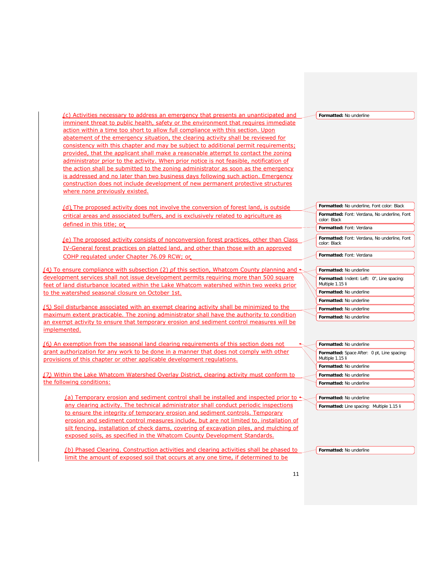| $(c)$ Activities necessary to address an emergency that presents an unanticipated and                   | Formatted: No underline                                      |
|---------------------------------------------------------------------------------------------------------|--------------------------------------------------------------|
| imminent threat to public health, safety or the environment that requires immediate                     |                                                              |
| action within a time too short to allow full compliance with this section. Upon                         |                                                              |
| abatement of the emergency situation, the clearing activity shall be reviewed for                       |                                                              |
| consistency with this chapter and may be subject to additional permit requirements;                     |                                                              |
| provided, that the applicant shall make a reasonable attempt to contact the zoning                      |                                                              |
| administrator prior to the activity. When prior notice is not feasible, notification of                 |                                                              |
| the action shall be submitted to the zoning administrator as soon as the emergency                      |                                                              |
| is addressed and no later than two business days following such action. Emergency                       |                                                              |
| construction does not include development of new permanent protective structures                        |                                                              |
| where none previously existed.                                                                          |                                                              |
| (d) The proposed activity does not involve the conversion of forest land, is outside                    | Formatted: No underline, Font color: Black                   |
| critical areas and associated buffers, and is exclusively related to agriculture as                     | Formatted: Font: Verdana, No underline, Font                 |
| defined in this title; or                                                                               | color: Black                                                 |
|                                                                                                         | Formatted: Font: Verdana                                     |
| (e) The proposed activity consists of nonconversion forest practices, other than Class                  | Formatted: Font: Verdana, No underline, Font<br>color: Black |
| IV-General forest practices on platted land, and other than those with an approved                      |                                                              |
| COHP regulated under Chapter 76.09 RCW; or                                                              | Formatted: Font: Verdana                                     |
|                                                                                                         |                                                              |
| (4) To ensure compliance with subsection (2) of this section, Whatcom County planning and $\rightarrow$ | Formatted: No underline                                      |
| development services shall not issue development permits requiring more than 500 square                 | Formatted: Indent: Left: 0", Line spacing:                   |
| feet of land disturbance located within the Lake Whatcom watershed within two weeks prior               | Multiple 1.15 li                                             |
| to the watershed seasonal closure on October 1st.                                                       | Formatted: No underline                                      |
|                                                                                                         | Formatted: No underline                                      |
| (5) Soil disturbance associated with an exempt clearing activity shall be minimized to the              | Formatted: No underline                                      |
| maximum extent practicable. The zoning administrator shall have the authority to condition              | Formatted: No underline                                      |
| an exempt activity to ensure that temporary erosion and sediment control measures will be               |                                                              |
| implemented.                                                                                            |                                                              |
| $(6)$ An exemption from the seasonal land clearing requirements of this section does not                | Formatted: No underline                                      |
| grant authorization for any work to be done in a manner that does not comply with other                 | Formatted: Space After: 0 pt, Line spacing:                  |
| provisions of this chapter or other applicable development regulations.                                 | Multiple 1.15 li                                             |
|                                                                                                         | Formatted: No underline                                      |
| (7) Within the Lake Whatcom Watershed Overlay District, clearing activity must conform to               | Formatted: No underline                                      |
| the following conditions:                                                                               | Formatted: No underline                                      |
| (a) Temporary erosion and sediment control shall be installed and inspected prior to $\star$            | Formatted: No underline                                      |
| any clearing activity. The technical administrator shall conduct periodic inspections                   | Formatted: Line spacing: Multiple 1.15 li                    |
| to ensure the integrity of temporary erosion and sediment controls. Temporary                           |                                                              |
| erosion and sediment control measures include, but are not limited to, installation of                  |                                                              |
| silt fencing, installation of check dams, covering of excavation piles, and mulching of                 |                                                              |
| exposed soils, as specified in the Whatcom County Development Standards.                                |                                                              |
|                                                                                                         |                                                              |
| (b) Phased Clearing. Construction activities and clearing activities shall be phased to                 | Formatted: No underline                                      |
| limit the amount of exposed soil that occurs at any one time, if determined to be                       |                                                              |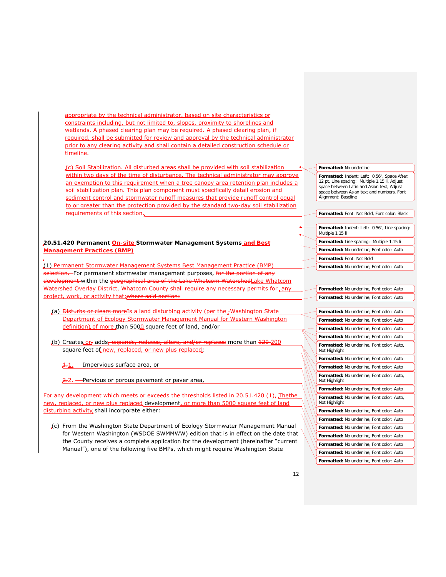| appropriate by the technical administrator, based on site characteristics or          |                              |
|---------------------------------------------------------------------------------------|------------------------------|
| constraints including, but not limited to, slopes, proximity to shorelines and        |                              |
| wetlands. A phased clearing plan may be required. A phased clearing plan, if          |                              |
| required, shall be submitted for review and approval by the technical administrator   |                              |
| prior to any clearing activity and shall contain a detailed construction schedule or  |                              |
| timeline.                                                                             |                              |
|                                                                                       |                              |
| (c) Soil Stabilization. All disturbed areas shall be provided with soil stabilization | Formatted                    |
| within two days of the time of disturbance. The technical administrator may approve   | <b>Formatted</b>             |
| an exemption to this requirement when a tree canopy area retention plan includes a    | 12 pt, Line s<br>space betwe |
| soil stabilization plan. This plan component must specifically detail erosion and     | space betwe                  |
| sediment control and stormwater runoff measures that provide runoff control equal     | Alignment: I                 |
| to or greater than the protection provided by the standard two-day soil stabilization |                              |
| requirements of this section.                                                         | Formatted                    |
|                                                                                       |                              |
|                                                                                       | Formatted                    |
|                                                                                       | Multiple 1.1                 |
| 20.51.420 Permanent On-site Stormwater Management Systems and Best                    | <b>Formatted</b>             |
|                                                                                       |                              |

**Management Practices (BMP)**

(1) Permanent Stormwater Management Systems Best Management Practice (BMP) selection. For permanent stormwater management purposes, for the portion of any development within the geographical area of the Lake Whatcom Watershed Lake Whatcom Watershed Overlay District, Whatcom County shall require any necessary permits for -any project, work, or activity that: where said portion:

(a) Disturbs or clears moreIs a land disturbing activity (per the -Washington State Department of Ecology Stormwater Management Manual for Western Washington definition) of more than 5000 square feet of land, and/or

(b) Creates or, adds, expands, reduces, alters, and/or replaces more than 120-200 square feet of new, replaced, or new plus replaced.

Impervious surface area, or

2.2. - Pervious or porous pavement or paver area,

For any development which meets or exceeds the thresholds listed in 20.51.420 (1), Thethe new, replaced, or new plus replaced development, or more than 5000 square feet of land disturbing activity shall incorporate either:

(c) From the Washington State Department of Ecology Stormwater Management Manual for Western Washington (WSDOE SWMMWW) edition that is in effect on the date that the County receives a complete application for the development (hereinafter "current Manual"), one of the following five BMPs, which might require Washington State

#### **Format in the set of the set of the set of the set of the set of the set of the set of the set of the set of the set of the set of the set of the set of the set of the set of the set of the set of the set of the set of th**

**Format: Left: 0.56", Space After:** spacing: Multiple 1.15 li, Adjust en Latin and Asian text, Adjust en Asian text and numbers, Font Baseline

**Formatted:** Font: Not Bold, Font color: Black

| Formatted: Indent: Left: 0.56", Line spacing:<br>Multiple 1.15 li |
|-------------------------------------------------------------------|
| Formatted: Line spacing: Multiple 1.15 li                         |
| Formatted: No underline, Font color: Auto                         |
| Formatted: Font: Not Bold                                         |
| <b>Formatted:</b> No underline. Font color: Auto                  |

**Formatted:** No underline, Font color: Auto **Formatted:** No underline, Font color: Auto

| Formatted: No underline, Font color: Auto                   |  |  |  |
|-------------------------------------------------------------|--|--|--|
| Formatted: No underline, Font color: Auto                   |  |  |  |
| Formatted: No underline, Font color: Auto                   |  |  |  |
| Formatted: No underline, Font color: Auto                   |  |  |  |
| Formatted: No underline, Font color: Auto,<br>Not Highlight |  |  |  |
| Formatted: No underline, Font color: Auto                   |  |  |  |
| Formatted: No underline, Font color: Auto                   |  |  |  |
| Formatted: No underline, Font color: Auto,<br>Not Highlight |  |  |  |
|                                                             |  |  |  |
| Formatted: No underline, Font color: Auto                   |  |  |  |
| Formatted: No underline, Font color: Auto,<br>Not Highlight |  |  |  |
| Formatted: No underline, Font color: Auto                   |  |  |  |
| Formatted: No underline, Font color: Auto                   |  |  |  |
| Formatted: No underline, Font color: Auto                   |  |  |  |
| Formatted: No underline, Font color: Auto                   |  |  |  |
| Formatted: No underline, Font color: Auto                   |  |  |  |
| Formatted: No underline, Font color: Auto                   |  |  |  |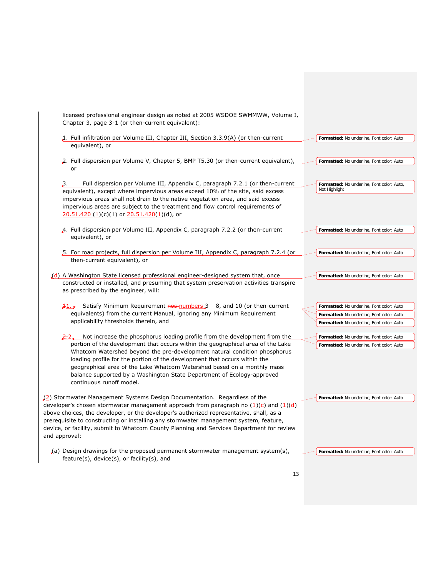| licensed professional engineer design as noted at 2005 WSDOE SWMMWW, Volume I,<br>Chapter 3, page 3-1 (or then-current equivalent):                                                                                                                                                                                                                                                                                                         |                                                             |
|---------------------------------------------------------------------------------------------------------------------------------------------------------------------------------------------------------------------------------------------------------------------------------------------------------------------------------------------------------------------------------------------------------------------------------------------|-------------------------------------------------------------|
| 1. Full infiltration per Volume III, Chapter III, Section 3.3.9(A) (or then-current<br>equivalent), or                                                                                                                                                                                                                                                                                                                                      | Formatted: No underline. Font color: Auto                   |
| 2. Full dispersion per Volume V, Chapter 5, BMP T5.30 (or then-current equivalent)<br>or                                                                                                                                                                                                                                                                                                                                                    | Formatted: No underline, Font color: Auto                   |
| Full dispersion per Volume III, Appendix C, paragraph 7.2.1 (or then-current<br>3.<br>equivalent), except where impervious areas exceed 10% of the site, said excess<br>impervious areas shall not drain to the native vegetation area, and said excess<br>impervious areas are subject to the treatment and flow control requirements of<br>$20.51.420(1)(c)(1)$ or $20.51.420(1)(d)$ , or                                                 | Formatted: No underline, Font color: Auto,<br>Not Highlight |
| A. Full dispersion per Volume III, Appendix C, paragraph 7.2.2 (or then-current<br>equivalent), or                                                                                                                                                                                                                                                                                                                                          | Formatted: No underline, Font color: Auto                   |
| 5. For road projects, full dispersion per Volume III, Appendix C, paragraph 7.2.4 (or<br>then-current equivalent), or                                                                                                                                                                                                                                                                                                                       | Formatted: No underline, Font color: Auto                   |
| (d) A Washington State licensed professional engineer-designed system that, once<br>constructed or installed, and presuming that system preservation activities transpire<br>as prescribed by the engineer, will:                                                                                                                                                                                                                           | Formatted: No underline. Font color: Auto                   |
| $\pm 1$ . $\bar{z}$ Satisfy Minimum Requirement nos-numbers $3 - 8$ , and 10 (or then-current                                                                                                                                                                                                                                                                                                                                               | Formatted: No underline, Font color: Auto                   |
| equivalents) from the current Manual, ignoring any Minimum Requirement                                                                                                                                                                                                                                                                                                                                                                      | Formatted: No underline, Font color: Auto                   |
| applicability thresholds therein, and                                                                                                                                                                                                                                                                                                                                                                                                       | Formatted: No underline, Font color: Auto                   |
| Not increase the phosphorus loading profile from the development from the<br><del>2.</del> 2.                                                                                                                                                                                                                                                                                                                                               | Formatted: No underline, Font color: Auto                   |
| portion of the development that occurs within the geographical area of the Lake                                                                                                                                                                                                                                                                                                                                                             | Formatted: No underline, Font color: Auto                   |
| Whatcom Watershed beyond the pre-development natural condition phosphorus<br>loading profile for the portion of the development that occurs within the<br>geographical area of the Lake Whatcom Watershed based on a monthly mass<br>balance supported by a Washington State Department of Ecology-approved<br>continuous runoff model.                                                                                                     |                                                             |
| (2) Stormwater Management Systems Design Documentation. Regardless of the                                                                                                                                                                                                                                                                                                                                                                   | Formatted: No underline, Font color: Auto                   |
| developer's chosen stormwater management approach from paragraph no $(\underline{1})(\underline{c})$ and $(\underline{1})(\underline{d})$<br>above choices, the developer, or the developer's authorized representative, shall, as a<br>prerequisite to constructing or installing any stormwater management system, feature,<br>device, or facility, submit to Whatcom County Planning and Services Department for review<br>and approval: |                                                             |
| (a) Design drawings for the proposed permanent stormwater management system(s),                                                                                                                                                                                                                                                                                                                                                             | Formatted: No underline, Font color: Auto                   |
| feature(s), device(s), or facility(s), and                                                                                                                                                                                                                                                                                                                                                                                                  |                                                             |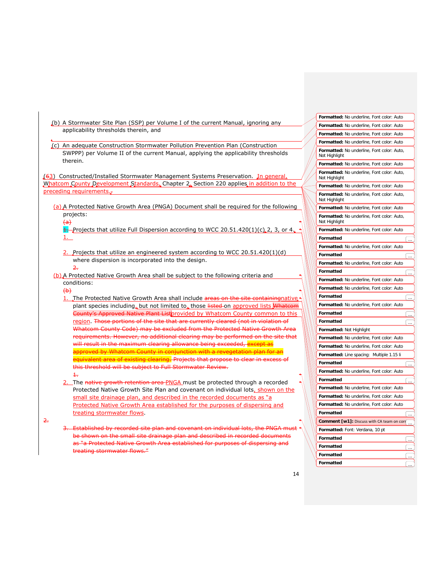| (b) A Stormwater Site Plan (SSP) per Volume I of the current Manual, ignoring any                                                                         | Formatted: No underline, Font color: Auto<br>Formatted: No underline, Font color: Auto |
|-----------------------------------------------------------------------------------------------------------------------------------------------------------|----------------------------------------------------------------------------------------|
| applicability thresholds therein, and                                                                                                                     |                                                                                        |
|                                                                                                                                                           | Formatted: No underline, Font color: Auto                                              |
| (c) An adequate Construction Stormwater Pollution Prevention Plan (Construction                                                                           | Formatted: No underline, Font color: Auto                                              |
| SWPPP) per Volume II of the current Manual, applying the applicability thresholds<br>therein.                                                             | Formatted: No underline, Font color: Auto,<br>Not Highlight                            |
|                                                                                                                                                           | Formatted: No underline, Font color: Auto                                              |
| (63) Constructed/Installed Stormwater Management Systems Preservation. <i>In general</i>                                                                  | Formatted: No underline, Font color: Auto,<br>Not Highlight                            |
| Whatcom County Development Standards, Chapter 2, Section 220 applies in addition to the                                                                   | Formatted: No underline, Font color: Auto                                              |
| preceding requirements.                                                                                                                                   | Formatted: No underline, Font color: Auto,<br>Not Highlight                            |
| (a) A Protected Native Growth Area (PNGA) Document shall be required for the following                                                                    | Formatted: No underline, Font color: Auto                                              |
| projects:                                                                                                                                                 | Formatted: No underline, Font color: Auto,                                             |
| <del>(a)</del>                                                                                                                                            | Not Highlight                                                                          |
| $\frac{1}{2}$ . Projects that utilize Full Dispersion according to WCC 20.51.420(1)(c) 2, 3, or 4.                                                        | Formatted: No underline, Font color: Auto                                              |
| 1.                                                                                                                                                        | Formatted                                                                              |
|                                                                                                                                                           | Formatted: No underline, Font color: Auto                                              |
| 2. Projects that utilize an engineered system according to WCC 20.51.420(1)(d)                                                                            | Formatted                                                                              |
| where dispersion is incorporated into the design.                                                                                                         | Formatted: No underline, Font color: Auto                                              |
| 2.                                                                                                                                                        | Formatted                                                                              |
| (b) A Protected Native Growth Area shall be subject to the following criteria and                                                                         | Formatted: No underline, Font color: Auto                                              |
| conditions:                                                                                                                                               |                                                                                        |
| $\leftrightarrow$                                                                                                                                         | Formatted: No underline, Font color: Auto                                              |
| 1. The Protected Native Growth Area shall include areas on the site containing native                                                                     | Formatted                                                                              |
| plant species including, but not limited to, those listed on approved lists Whatcom                                                                       | Formatted: No underline, Font color: Auto                                              |
| County's Approved Native Plant List provided by Whatcom County common to this                                                                             | Formatted                                                                              |
| region. Those portions of the site that are currently cleared (not in violation of                                                                        | Formatted                                                                              |
| Whatcom County Code) may be excluded from the Protected Native Growth Area                                                                                | Formatted: Not Highlight                                                               |
| requirements. However, no additional clearing may be performed on the site that                                                                           | Formatted: No underline, Font color: Auto                                              |
| will result in the maximum clearing allowance being exceeded, except as                                                                                   | Formatted: No underline, Font color: Auto                                              |
| <del>approved by Whatcom County in conjunction with a revegetation plan for an</del>                                                                      | Formatted: Line spacing: Multiple 1.15 li                                              |
| <del>equivalent area of existing clearing. Projects that propose to clear in excess of</del><br>this threshold will be subject to Full Stormwater Review. | Formatted                                                                              |
| $\ddagger$                                                                                                                                                | Formatted: No underline, Font color: Auto                                              |
| 2. The native growth retention area-PNGA must be protected through a recorded                                                                             | Formatted                                                                              |
| Protected Native Growth Site Plan and covenant on individual lots, shown on the                                                                           | Formatted: No underline, Font color: Auto                                              |
| small site drainage plan, and described in the recorded documents as "a                                                                                   | Formatted: No underline, Font color: Auto                                              |
| Protected Native Growth Area established for the purposes of dispersing and                                                                               | Formatted: No underline, Font color: Auto                                              |
| treating stormwater flows.                                                                                                                                | Formatted                                                                              |
| ᆠ                                                                                                                                                         | Comment [w1]: Discuss with CA team on con                                              |
| Established by recorded site plan and covenant on individual lots, the PNGA must                                                                          | Formatted: Font: Verdana, 10 pt                                                        |
| be shown on the small site drainage plan and described in recorded documents                                                                              | Formatted                                                                              |
| as "a Protected Native Growth Area established for purposes of dispersing and                                                                             | Formatted                                                                              |
| treating stormwater flows."                                                                                                                               | Formatted                                                                              |
|                                                                                                                                                           |                                                                                        |
|                                                                                                                                                           | Formatted                                                                              |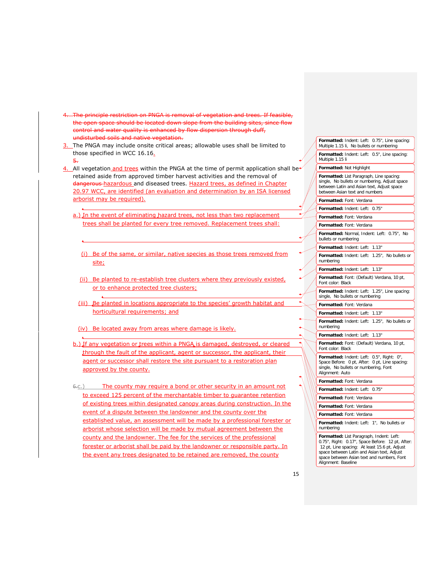- The principle restriction on PNGA is removal of vegetation and trees. If feasible, the open space should be located down slope from the building sites, since flow control and water quality is enhanced by flow dispersion through duff, undisturbed soils and native vegetation.
- The PNGA may include onsite critical areas; allowable uses shall be limited to those specified in WCC 16.16. 5.
- 4. All vegetation and trees within the PNGA at the time of permit application shall beretained aside from approved timber harvest activities and the removal of dangerous hazardous and diseased trees. Hazard trees, as defined in Chapter [20.97](http://www.codepublishing.com/wa/whatcomcounty/html/Whatco20/Whatco2097.html#20.97) WCC, are identified (an evaluation and determination by an ISA licensed arborist may be required).
	- a.) In the event of eliminating hazard trees, not less than two replacement trees shall be planted for every tree removed. Replacement trees shall:
		- (i) Be of the same, or similar, native species as those trees removed from site;
		- (ii) Be planted to re-establish tree clusters where they previously existed, or to enhance protected tree clusters;
		- (iii) Be planted in locations appropriate to the species' growth habitat and horticultural requirements; and
		- (iv) Be located away from areas where damage is likely.
	- b.) If any vegetation or trees within a PNGA is damaged, destroyed, or cleared through the fault of the applicant, agent or successor, the applicant, their agent or successor shall restore the site pursuant to a restoration plan approved by the county.

6.c.) The county may require a bond or other security in an amount not to exceed 125 percent of the merchantable timber to guarantee retention of existing trees within designated canopy areas during construction. In the event of a dispute between the landowner and the county over the established value, an assessment will be made by a professional forester or arborist whose selection will be made by mutual agreement between the county and the landowner. The fee for the services of the professional forester or arborist shall be paid by the landowner or responsible party. In the event any trees designated to be retained are removed, the county

|                          | Formatted: Indent: Left: 0.75", Line spacing:<br>Multiple 1.15 li, No bullets or numbering                                                                                                                                                                       |  |  |  |
|--------------------------|------------------------------------------------------------------------------------------------------------------------------------------------------------------------------------------------------------------------------------------------------------------|--|--|--|
|                          | Formatted: Indent: Left: 0.5", Line spacing:<br>Multiple 1.15 li                                                                                                                                                                                                 |  |  |  |
|                          | Formatted: Not Highlight                                                                                                                                                                                                                                         |  |  |  |
|                          | Formatted: List Paragraph, Line spacing:<br>single, No bullets or numbering, Adjust space<br>between Latin and Asian text, Adjust space<br>between Asian text and numbers                                                                                        |  |  |  |
|                          | Formatted: Font: Verdana                                                                                                                                                                                                                                         |  |  |  |
|                          | Formatted: Indent: Left: 0.75"                                                                                                                                                                                                                                   |  |  |  |
|                          | Formatted: Font: Verdana                                                                                                                                                                                                                                         |  |  |  |
|                          | Formatted: Font: Verdana                                                                                                                                                                                                                                         |  |  |  |
|                          | Formatted: Normal, Indent: Left: 0.75", No<br>bullets or numbering                                                                                                                                                                                               |  |  |  |
|                          | Formatted: Indent: Left: 1.13"                                                                                                                                                                                                                                   |  |  |  |
|                          | Formatted: Indent: Left: 1.25", No bullets or<br>numbering                                                                                                                                                                                                       |  |  |  |
|                          | Formatted: Indent: Left: 1.13"                                                                                                                                                                                                                                   |  |  |  |
|                          | Formatted: Font: (Default) Verdana, 10 pt,<br>Font color: Black                                                                                                                                                                                                  |  |  |  |
|                          | Formatted: Indent: Left: 1.25", Line spacing:<br>single, No bullets or numbering                                                                                                                                                                                 |  |  |  |
|                          | Formatted: Font: Verdana                                                                                                                                                                                                                                         |  |  |  |
|                          | Formatted: Indent: Left: 1.13"                                                                                                                                                                                                                                   |  |  |  |
|                          | Formatted: Indent: Left: 1.25", No bullets or<br>numbering                                                                                                                                                                                                       |  |  |  |
|                          | Formatted: Indent: Left: 1.13"                                                                                                                                                                                                                                   |  |  |  |
|                          | Formatted: Font: (Default) Verdana, 10 pt,<br>Font color: Black                                                                                                                                                                                                  |  |  |  |
|                          | Formatted: Indent: Left: 0.5", Right: 0",<br>Space Before: 0 pt, After: 0 pt, Line spacing:<br>single, No bullets or numbering, Font<br>Alignment: Auto                                                                                                          |  |  |  |
|                          | Formatted: Font: Verdana                                                                                                                                                                                                                                         |  |  |  |
|                          | Formatted: Indent: Left: 0.75"                                                                                                                                                                                                                                   |  |  |  |
| Formatted: Font: Verdana |                                                                                                                                                                                                                                                                  |  |  |  |
|                          | Formatted: Font: Verdana                                                                                                                                                                                                                                         |  |  |  |
| Formatted: Font: Verdana |                                                                                                                                                                                                                                                                  |  |  |  |
|                          | Formatted: Indent: Left: 1", No bullets or<br>numbering                                                                                                                                                                                                          |  |  |  |
|                          | Formatted: List Paragraph, Indent: Left:<br>0.75", Right: 0.17", Space Before: 12 pt, After:<br>12 pt, Line spacing: At least 15.6 pt, Adjust<br>space between Latin and Asian text, Adjust<br>space between Asian text and numbers, Font<br>Alignment: Baseline |  |  |  |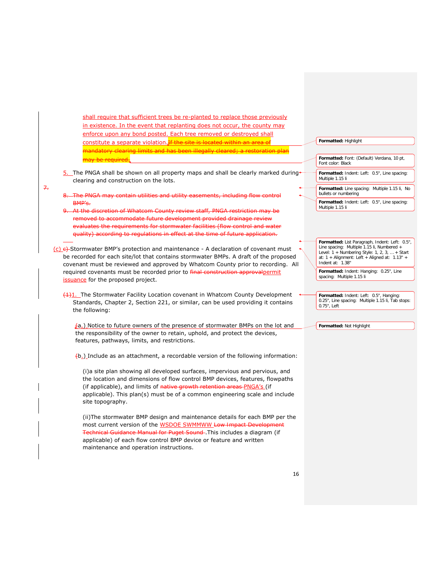|    | shall require that sufficient trees be re-planted to replace those previously                                                                                                                                                                                                                                                                   |                                                                                                                                                                        |
|----|-------------------------------------------------------------------------------------------------------------------------------------------------------------------------------------------------------------------------------------------------------------------------------------------------------------------------------------------------|------------------------------------------------------------------------------------------------------------------------------------------------------------------------|
|    | in existence. In the event that replanting does not occur, the county may                                                                                                                                                                                                                                                                       |                                                                                                                                                                        |
|    | enforce upon any bond posted. Each tree removed or destroyed shall                                                                                                                                                                                                                                                                              |                                                                                                                                                                        |
|    | constitute a separate violation. If the site is located within an area of                                                                                                                                                                                                                                                                       | Formatted: Highlight                                                                                                                                                   |
|    | <del>nandatory clearing limits and has been illegally cleared</del>                                                                                                                                                                                                                                                                             |                                                                                                                                                                        |
|    | <del>may be required.</del>                                                                                                                                                                                                                                                                                                                     | Formatted: Font: (Default) Verdana, 10 pt,<br>Font color: Black                                                                                                        |
|    | 5. The PNGA shall be shown on all property maps and shall be clearly marked during<br>clearing and construction on the lots.                                                                                                                                                                                                                    | Formatted: Indent: Left: 0.5", Line spacing:<br>Multiple 1.15 li                                                                                                       |
| 7. | 8. The PNGA may contain utilities and utility easements, including flow control                                                                                                                                                                                                                                                                 | Formatted: Line spacing: Multiple 1.15 li, No<br>bullets or numbering                                                                                                  |
|    | BMP's.                                                                                                                                                                                                                                                                                                                                          | Formatted: Indent: Left: 0.5", Line spacing:<br>Multiple 1.15 li                                                                                                       |
|    | 9. At the discretion of Whatcom County review staff, PNGA restriction may be                                                                                                                                                                                                                                                                    |                                                                                                                                                                        |
|    | removed to accommodate future development provided drainage review                                                                                                                                                                                                                                                                              |                                                                                                                                                                        |
|    | evaluates the requirements for stormwater facilities (flow control and water                                                                                                                                                                                                                                                                    |                                                                                                                                                                        |
|    | quality) according to regulations in effect at the time of future application.                                                                                                                                                                                                                                                                  | Formatted: List Paragraph, Indent: Left: 0.5",                                                                                                                         |
|    | $(c)$ $\epsilon$ ) Stormwater BMP's protection and maintenance - A declaration of covenant must<br>be recorded for each site/lot that contains stormwater BMPs. A draft of the proposed<br>covenant must be reviewed and approved by Whatcom County prior to recording. All                                                                     | Line spacing: Multiple 1.15 li, Numbered +<br>Level: $1 +$ Numbering Style: 1, 2, 3,  + Start<br>at: $1 +$ Alignment: Left + Aligned at: $1.13" +$<br>Indent at: 1.38" |
|    | required covenants must be recorded prior to final construction approvalpermit<br>issuance for the proposed project.                                                                                                                                                                                                                            | Formatted: Indent: Hanging: 0.25", Line<br>spacing: Multiple 1.15 li                                                                                                   |
|    | $\frac{(1)}{(1)}$ . The Stormwater Facility Location covenant in Whatcom County Development<br>Standards, Chapter 2, Section 221, or similar, can be used providing it contains<br>the following:                                                                                                                                               | Formatted: Indent: Left: 0.5", Hanging:<br>0.25", Line spacing: Multiple 1.15 li, Tab stops:<br>0.75", Left                                                            |
|    | $f_a$ ) Notice to future owners of the presence of stormwater BMPs on the lot and                                                                                                                                                                                                                                                               | Formatted: Not Highlight                                                                                                                                               |
|    | the responsibility of the owner to retain, uphold, and protect the devices,<br>features, pathways, limits, and restrictions.                                                                                                                                                                                                                    |                                                                                                                                                                        |
|    | $(b.)$ Include as an attachment, a recordable version of the following information:                                                                                                                                                                                                                                                             |                                                                                                                                                                        |
|    | (i) a site plan showing all developed surfaces, impervious and pervious, and<br>the location and dimensions of flow control BMP devices, features, flowpaths<br>(if applicable), and limits of native growth retention areas PNGA's (if<br>applicable). This plan(s) must be of a common engineering scale and include<br>site topography.      |                                                                                                                                                                        |
|    | (ii)The stormwater BMP design and maintenance details for each BMP per the<br>most current version of the <b>WSDOE SWMMWW</b> Low Impact Development<br>Fechnical Guidance Manual for Puget Sound. This includes a diagram (if<br>applicable) of each flow control BMP device or feature and written<br>maintenance and operation instructions. |                                                                                                                                                                        |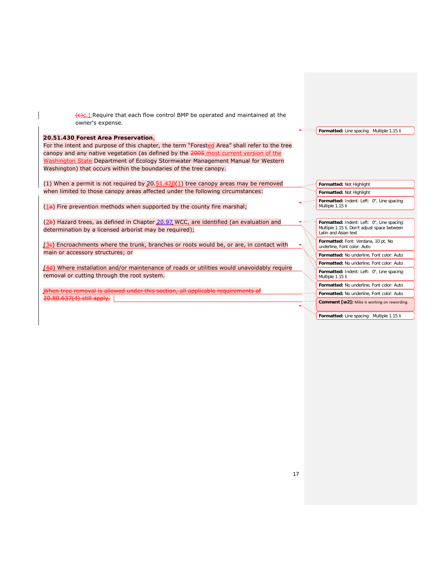(e)c.) Require that each flow control BMP be operated and maintained at the owner's expense.

#### **20.51.430 Forest Area Preservation.**

For the intent and purpose of this chapter, the term "Forested Area" shall refer to the tree canopy and any native vegetation (as defined by the 2005 most current version of the Washington State Department of Ecology Stormwater Management Manual for Western Washington) that occurs within the boundaries of the tree canopy.

(1) When a permit is not required by  $20.51.420(1)$  tree canopy areas may be removed when limited to those canopy areas affected under the following circumstances:

 $(1a)$  Fire prevention methods when supported by the county fire marshal;

 $(2b)$  Hazard trees, as defined in Chapter  $20.97$ , WCC, are identified (an evaluation and determination by a licensed arborist may be required);

(3e) Encroachments where the trunk, branches or roots would be, or are, in contact with main or accessory structures; or

(4d) Where installation and/or maintenance of roads or utilities would unavoidably require removal or cutting through the root system.

ed under this section, all applicable requirements of 20.80.637(4) still apply.

**Formatted:** Line spacing: Multiple 1.15 li

**Formatted:** Not Highlight **Formatted:** Not Highlight **Formatted:** Indent: Left: 0", Line spacing: Multiple 1.15 li **Formatted:** Indent: Left: 0", Line spacing: Multiple 1.15 li, Don't adjust space between Latin and Asian text **Formatted:** Font: Verdana, 10 pt, No underline, Font color: Auto **Formatted:** No underline, Font color: Auto **Formatted:** No underline, Font color: Auto **Formatted:** Indent: Left: 0", Line spacing: Multiple 1.15 li **Formatted:** No underline, Font color: Auto **Formatted:** No underline, Font color: Auto **Comment [w2]:** Mike is working on rewording.

**Formatted:** Line spacing: Multiple 1.15 li